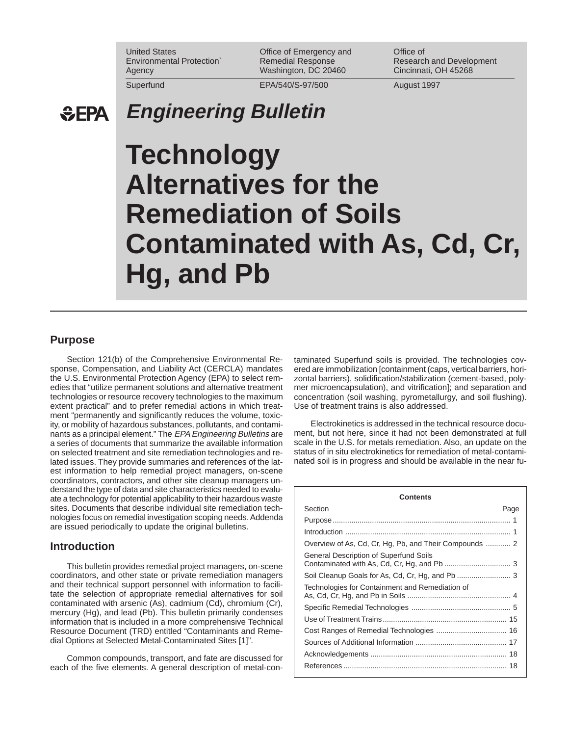United States **Office of Emergency and** Office of Emergency and Office of Agency Washington, DC 20460

Superfund EPA/540/S-97/500 August 1997

Environmental Protection **Remedial Response** Research and Development<br>Agency Mashington, DC 20460 Cincinnati, OH 45268

# **GEPA**

# **Engineering Bulletin**

# **Technology Alternatives for the Remediation of Soils Contaminated with As, Cd, Cr, Hg, and Pb**

## **Purpose**

Section 121(b) of the Comprehensive Environmental Response, Compensation, and Liability Act (CERCLA) mandates the U.S. Environmental Protection Agency (EPA) to select remedies that "utilize permanent solutions and alternative treatment technologies or resource recovery technologies to the maximum extent practical" and to prefer remedial actions in which treatment "permanently and significantly reduces the volume, toxicity, or mobility of hazardous substances, pollutants, and contaminants as a principal element." The EPA Engineering Bulletins are a series of documents that summarize the available information on selected treatment and site remediation technologies and related issues. They provide summaries and references of the latest information to help remedial project managers, on-scene coordinators, contractors, and other site cleanup managers understand the type of data and site characteristics needed to evaluate a technology for potential applicability to their hazardous waste sites. Documents that describe individual site remediation technologies focus on remedial investigation scoping needs. Addenda are issued periodically to update the original bulletins.

## **Introduction**

This bulletin provides remedial project managers, on-scene coordinators, and other state or private remediation managers and their technical support personnel with information to facilitate the selection of appropriate remedial alternatives for soil contaminated with arsenic (As), cadmium (Cd), chromium (Cr), mercury (Hg), and lead (Pb). This bulletin primarily condenses information that is included in a more comprehensive Technical Resource Document (TRD) entitled "Contaminants and Remedial Options at Selected Metal-Contaminated Sites [1]".

Common compounds, transport, and fate are discussed for each of the five elements. A general description of metal-contaminated Superfund soils is provided. The technologies covered are immobilization [containment (caps, vertical barriers, horizontal barriers), solidification/stabilization (cement-based, polymer microencapsulation), and vitrification]; and separation and concentration (soil washing, pyrometallurgy, and soil flushing). Use of treatment trains is also addressed.

Electrokinetics is addressed in the technical resource document, but not here, since it had not been demonstrated at full scale in the U.S. for metals remediation. Also, an update on the status of in situ electrokinetics for remediation of metal-contaminated soil is in progress and should be available in the near fu-

| <b>Contents</b>                                        |
|--------------------------------------------------------|
| Section<br>Page                                        |
|                                                        |
|                                                        |
| Overview of As, Cd, Cr, Hg, Pb, and Their Compounds  2 |
| <b>General Description of Superfund Soils</b>          |
|                                                        |
| Technologies for Containment and Remediation of        |
|                                                        |
|                                                        |
|                                                        |
|                                                        |
|                                                        |
|                                                        |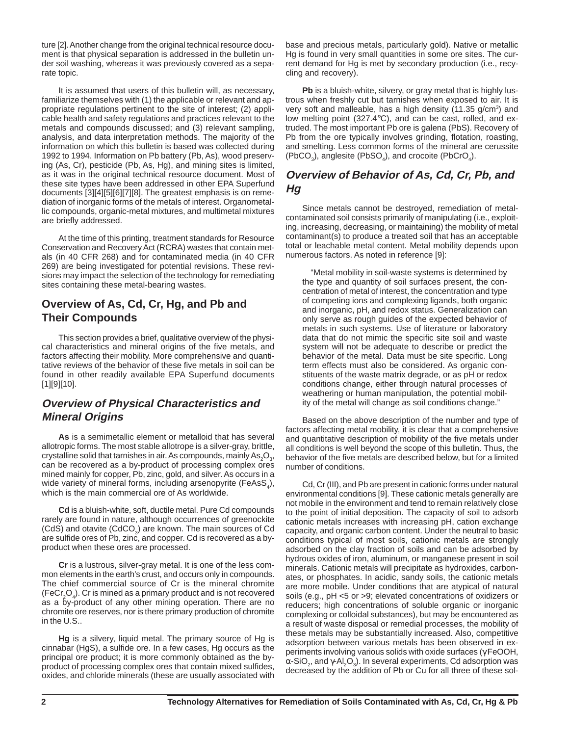ture [2]. Another change from the original technical resource document is that physical separation is addressed in the bulletin under soil washing, whereas it was previously covered as a separate topic.

It is assumed that users of this bulletin will, as necessary, familiarize themselves with (1) the applicable or relevant and appropriate regulations pertinent to the site of interest; (2) applicable health and safety regulations and practices relevant to the metals and compounds discussed; and (3) relevant sampling, analysis, and data interpretation methods. The majority of the information on which this bulletin is based was collected during 1992 to 1994. Information on Pb battery (Pb, As), wood preserving (As, Cr), pesticide (Pb, As, Hg), and mining sites is limited, as it was in the original technical resource document. Most of these site types have been addressed in other EPA Superfund documents [3][4][5][6][7][8]. The greatest emphasis is on remediation of inorganic forms of the metals of interest. Organometallic compounds, organic-metal mixtures, and multimetal mixtures are briefly addressed.

At the time of this printing, treatment standards for Resource Conservation and Recovery Act (RCRA) wastes that contain metals (in 40 CFR 268) and for contaminated media (in 40 CFR 269) are being investigated for potential revisions. These revisions may impact the selection of the technology for remediating sites containing these metal-bearing wastes.

## **Overview of As, Cd, Cr, Hg, and Pb and Their Compounds**

This section provides a brief, qualitative overview of the physical characteristics and mineral origins of the five metals, and factors affecting their mobility. More comprehensive and quantitative reviews of the behavior of these five metals in soil can be found in other readily available EPA Superfund documents [1][9][10].

## **Overview of Physical Characteristics and Mineral Origins**

**As** is a semimetallic element or metalloid that has several allotropic forms. The most stable allotrope is a silver-gray, brittle, crystalline solid that tarnishes in air. As compounds, mainly As $_2$ O $_3$ , can be recovered as a by-product of processing complex ores mined mainly for copper, Pb, zinc, gold, and silver. As occurs in a wide variety of mineral forms, including arsenopyrite (FeAsS<sub>4</sub>), which is the main commercial ore of As worldwide.

**Cd** is a bluish-white, soft, ductile metal. Pure Cd compounds rarely are found in nature, although occurrences of greenockite (CdS) and otavite (CdCO<sub>3</sub>) are known. The main sources of Cd are sulfide ores of Pb, zinc, and copper. Cd is recovered as a byproduct when these ores are processed.

**Cr** is a lustrous, silver-gray metal. It is one of the less common elements in the earth's crust, and occurs only in compounds. The chief commercial source of Cr is the mineral chromite (FeCr<sub>2</sub>O<sub>4</sub>). Cr is mined as a primary product and is not recovered as a by-product of any other mining operation. There are no chromite ore reserves, nor is there primary production of chromite in the U.S..

**Hg** is a silvery, liquid metal. The primary source of Hg is cinnabar (HgS), a sulfide ore. In a few cases, Hg occurs as the principal ore product; it is more commonly obtained as the byproduct of processing complex ores that contain mixed sulfides, oxides, and chloride minerals (these are usually associated with base and precious metals, particularly gold). Native or metallic Hg is found in very small quantities in some ore sites. The current demand for Hg is met by secondary production (i.e., recycling and recovery).

**Pb** is a bluish-white, silvery, or gray metal that is highly lustrous when freshly cut but tarnishes when exposed to air. It is very soft and malleable, has a high density (11.35 g/cm<sup>3</sup>) and low melting point (327.4°C), and can be cast, rolled, and extruded. The most important Pb ore is galena (PbS). Recovery of Pb from the ore typically involves grinding, flotation, roasting, and smelting. Less common forms of the mineral are cerussite (PbCO<sub>3</sub>), anglesite (PbSO<sub>4</sub>), and crocoite (PbCrO<sub>4</sub>).

## **Overview of Behavior of As, Cd, Cr, Pb, and Hg**

Since metals cannot be destroyed, remediation of metalcontaminated soil consists primarily of manipulating (i.e., exploiting, increasing, decreasing, or maintaining) the mobility of metal contaminant(s) to produce a treated soil that has an acceptable total or leachable metal content. Metal mobility depends upon numerous factors. As noted in reference [9]:

"Metal mobility in soil-waste systems is determined by the type and quantity of soil surfaces present, the concentration of metal of interest, the concentration and type of competing ions and complexing ligands, both organic and inorganic, pH, and redox status. Generalization can only serve as rough guides of the expected behavior of metals in such systems. Use of literature or laboratory data that do not mimic the specific site soil and waste system will not be adequate to describe or predict the behavior of the metal. Data must be site specific. Long term effects must also be considered. As organic constituents of the waste matrix degrade, or as pH or redox conditions change, either through natural processes of weathering or human manipulation, the potential mobility of the metal will change as soil conditions change."

Based on the above description of the number and type of factors affecting metal mobility, it is clear that a comprehensive and quantitative description of mobility of the five metals under all conditions is well beyond the scope of this bulletin. Thus, the behavior of the five metals are described below, but for a limited number of conditions.

Cd, Cr (III), and Pb are present in cationic forms under natural environmental conditions [9]. These cationic metals generally are not mobile in the environment and tend to remain relatively close to the point of initial deposition. The capacity of soil to adsorb cationic metals increases with increasing pH, cation exchange capacity, and organic carbon content. Under the neutral to basic conditions typical of most soils, cationic metals are strongly adsorbed on the clay fraction of soils and can be adsorbed by hydrous oxides of iron, aluminum, or manganese present in soil minerals. Cationic metals will precipitate as hydroxides, carbonates, or phosphates. In acidic, sandy soils, the cationic metals are more mobile. Under conditions that are atypical of natural soils (e.g., pH <5 or >9; elevated concentrations of oxidizers or reducers; high concentrations of soluble organic or inorganic complexing or colloidal substances), but may be encountered as a result of waste disposal or remedial processes, the mobility of these metals may be substantially increased. Also, competitive adsorption between various metals has been observed in experiments involving various solids with oxide surfaces (γ FeOOH, α-SiO<sub>2</sub>, and γ-Al<sub>2</sub>O<sub>3</sub>). In several experiments, Cd adsorption was decreased by the addition of Pb or Cu for all three of these sol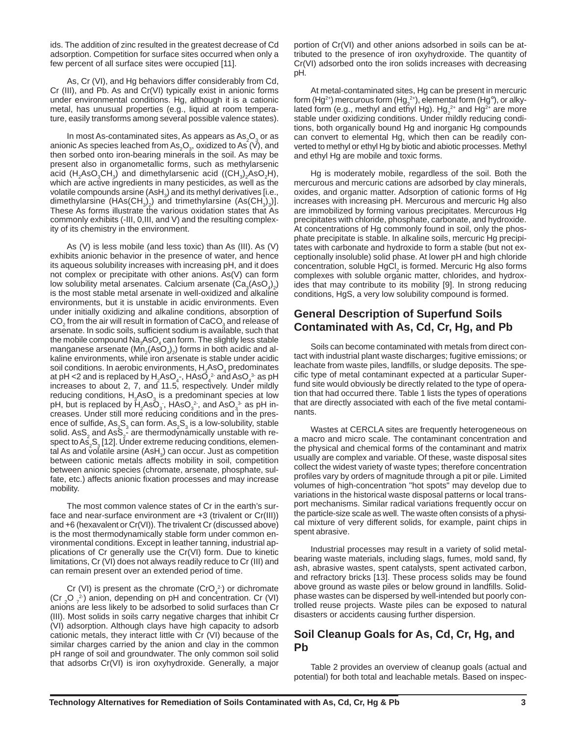ids. The addition of zinc resulted in the greatest decrease of Cd adsorption. Competition for surface sites occurred when only a few percent of all surface sites were occupied [11].

As, Cr (VI), and Hg behaviors differ considerably from Cd, Cr (III), and Pb. As and Cr(VI) typically exist in anionic forms under environmental conditions. Hg, although it is a cationic metal, has unusual properties (e.g., liquid at room temperature, easily transforms among several possible valence states).

In most As-contaminated sites, As appears as  $\text{As}_2\text{O}_3$  or as anionic As species leached from As $_{2}$ O $_{3}$ , oxidized to As (V), and then sorbed onto iron-bearing minerals in the soil. As may be present also in organometallic forms, such as methylarsenic acid (H<sub>2</sub>AsO<sub>3</sub>CH<sub>3</sub>) and dimethylarsenic acid ((CH<sub>3</sub>)<sub>2</sub>AsO<sub>2</sub>H), which are active ingredients in many pesticides, as well as the volatile compounds arsine  $(\mathsf{ASH}_3)$  and its methyl derivatives [i.e., dimethylarsine  $(HAs(CH_3)_2)$  and trimethylarsine  $(As(CH_3)_3)$ ]. These As forms illustrate the various oxidation states that As commonly exhibits (-III, 0,III, and V) and the resulting complexity of its chemistry in the environment.

As (V) is less mobile (and less toxic) than As (III). As (V) exhibits anionic behavior in the presence of water, and hence its aqueous solubility increases with increasing pH, and it does not complex or precipitate with other anions. As(V) can form low solubility metal arsenates. Calcium arsenate  $(\text{Ca}_{3}(\text{AsO}_{4})_{2})$ is the most stable metal arsenate in well-oxidized and alkaline environments, but it is unstable in acidic environments. Even under initially oxidizing and alkaline conditions, absorption of  $\mathrm{CO}_2$  from the air will result in formation of  $\mathrm{CaCO}_3^3$  and release of arsenate. In sodic soils, sufficient sodium is available, such that the mobile compound  $\textsf{Na}_3\textsf{AsO}_4$  can form. The slightly less stable manganese arsenate  $(Mn_2(ASO_4)_2)$  forms in both acidic and alkaline environments, while iron arsenate is stable under acidic soil conditions. In aerobic environments,  $H_3ASO_4$  predominates at pH <2 and is replaced by  $H_2$ AsO<sub>4</sub>-, HAsO<sub>4</sub><sup>2</sup> and AsO<sub>4</sub><sup>3</sup> as pH increases to about 2, 7, and 11.5, respectively. Under mildly reducing conditions,  $H_3$ AsO<sub>3</sub> is a predominant species at low pH, but is replaced by  $H_2$ AsO<sub>3</sub>, HAsO<sub>3</sub><sup>2</sup>, and AsO<sub>3</sub><sup>3</sup> as pH increases. Under still more reducing conditions and in the presence of sulfide,  $\mathsf{As}_2\mathsf{S}_3$  can form.  $\mathsf{As}_2\mathsf{S}_3$  is a low-solubility, stable solid. AsS<sub>2</sub> and AsS<sub>2</sub>- are thermodynamically unstable with respect to As $_2$ S $_3$  [12]. Under extreme reducing conditions, elemental As and volatile arsine (AsH $_{\scriptscriptstyle 3}$ ) can occur. Just as competition between cationic metals affects mobility in soil, competition between anionic species (chromate, arsenate, phosphate, sulfate, etc.) affects anionic fixation processes and may increase mobility.

The most common valence states of Cr in the earth's surface and near-surface environment are +3 (trivalent or Cr(III)) and +6 (hexavalent or Cr(VI)). The trivalent Cr (discussed above) is the most thermodynamically stable form under common environmental conditions. Except in leather tanning, industrial applications of Cr generally use the Cr(VI) form. Due to kinetic limitations, Cr (VI) does not always readily reduce to Cr (III) and can remain present over an extended period of time.

Cr  $(VI)$  is present as the chromate  $(CrO<sub>4</sub><sup>2</sup>)$  or dichromate (Cr  $_{2}$ O  $_{7}^{2}$ ) anion, depending on pH and concentration. Cr (VI) anions are less likely to be adsorbed to solid surfaces than Cr (III). Most solids in soils carry negative charges that inhibit Cr (VI) adsorption. Although clays have high capacity to adsorb cationic metals, they interact little with Cr (VI) because of the similar charges carried by the anion and clay in the common pH range of soil and groundwater. The only common soil solid that adsorbs Cr(VI) is iron oxyhydroxide. Generally, a major

portion of Cr(VI) and other anions adsorbed in soils can be attributed to the presence of iron oxyhydroxide. The quantity of Cr(VI) adsorbed onto the iron solids increases with decreasing pH.

At metal-contaminated sites, Hg can be present in mercuric form (Hg<sup>2+</sup>) mercurous form (Hg $_2^{2+}$ ), elemental form (Hg $^\circ$ ), or alkylated form (e.g., methyl and ethyl Hg).  $Hg_2^{2+}$  and Hg<sup>2+</sup> are more stable under oxidizing conditions. Under mildly reducing conditions, both organically bound Hg and inorganic Hg compounds can convert to elemental Hg, which then can be readily converted to methyl or ethyl Hg by biotic and abiotic processes. Methyl and ethyl Hg are mobile and toxic forms.

Hg is moderately mobile, regardless of the soil. Both the mercurous and mercuric cations are adsorbed by clay minerals, oxides, and organic matter. Adsorption of cationic forms of Hg increases with increasing pH. Mercurous and mercuric Hg also are immobilized by forming various precipitates. Mercurous Hg precipitates with chloride, phosphate, carbonate, and hydroxide. At concentrations of Hg commonly found in soil, only the phosphate precipitate is stable. In alkaline soils, mercuric Hg precipitates with carbonate and hydroxide to form a stable (but not exceptionally insoluble) solid phase. At lower pH and high chloride concentration, soluble  $HgCl<sub>2</sub>$  is formed. Mercuric Hg also forms complexes with soluble organic matter, chlorides, and hydroxides that may contribute to its mobility [9]. In strong reducing conditions, HgS, a very low solubility compound is formed.

## **General Description of Superfund Soils Contaminated with As, Cd, Cr, Hg, and Pb**

Soils can become contaminated with metals from direct contact with industrial plant waste discharges; fugitive emissions; or leachate from waste piles, landfills, or sludge deposits. The specific type of metal contaminant expected at a particular Superfund site would obviously be directly related to the type of operation that had occurred there. Table 1 lists the types of operations that are directly associated with each of the five metal contaminants.

Wastes at CERCLA sites are frequently heterogeneous on a macro and micro scale. The contaminant concentration and the physical and chemical forms of the contaminant and matrix usually are complex and variable. Of these, waste disposal sites collect the widest variety of waste types; therefore concentration profiles vary by orders of magnitude through a pit or pile. Limited volumes of high-concentration "hot spots" may develop due to variations in the historical waste disposal patterns or local transport mechanisms. Similar radical variations frequently occur on the particle-size scale as well. The waste often consists of a physical mixture of very different solids, for example, paint chips in spent abrasive.

Industrial processes may result in a variety of solid metalbearing waste materials, including slags, fumes, mold sand, fly ash, abrasive wastes, spent catalysts, spent activated carbon, and refractory bricks [13]. These process solids may be found above ground as waste piles or below ground in landfills. Solidphase wastes can be dispersed by well-intended but poorly controlled reuse projects. Waste piles can be exposed to natural disasters or accidents causing further dispersion.

## **Soil Cleanup Goals for As, Cd, Cr, Hg, and Pb**

Table 2 provides an overview of cleanup goals (actual and potential) for both total and leachable metals. Based on inspec-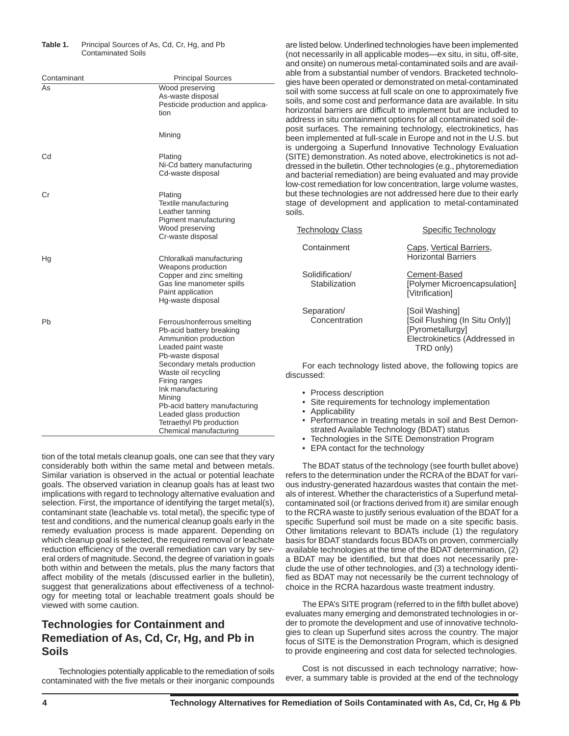| Contaminant | <b>Principal Sources</b>                                                                                                                                                                                                                                                                                                                            |
|-------------|-----------------------------------------------------------------------------------------------------------------------------------------------------------------------------------------------------------------------------------------------------------------------------------------------------------------------------------------------------|
| As          | Wood preserving<br>As-waste disposal<br>Pesticide production and applica-<br>tion                                                                                                                                                                                                                                                                   |
|             | Mining                                                                                                                                                                                                                                                                                                                                              |
| Cd          | Plating<br>Ni-Cd battery manufacturing<br>Cd-waste disposal                                                                                                                                                                                                                                                                                         |
| Cr          | Plating<br>Textile manufacturing<br>Leather tanning<br>Pigment manufacturing<br>Wood preserving<br>Cr-waste disposal                                                                                                                                                                                                                                |
| Hg          | Chloralkali manufacturing<br>Weapons production<br>Copper and zinc smelting<br>Gas line manometer spills<br>Paint application<br>Hg-waste disposal                                                                                                                                                                                                  |
| Ph          | Ferrous/nonferrous smelting<br>Pb-acid battery breaking<br>Ammunition production<br>Leaded paint waste<br>Pb-waste disposal<br>Secondary metals production<br>Waste oil recycling<br>Firing ranges<br>Ink manufacturing<br>Mining<br>Pb-acid battery manufacturing<br>Leaded glass production<br>Tetraethyl Pb production<br>Chemical manufacturing |

**Table 1.** Principal Sources of As, Cd, Cr, Hg, and Pb

Contaminated Soils

tion of the total metals cleanup goals, one can see that they vary considerably both within the same metal and between metals. Similar variation is observed in the actual or potential leachate goals. The observed variation in cleanup goals has at least two implications with regard to technology alternative evaluation and selection. First, the importance of identifying the target metal(s), contaminant state (leachable vs. total metal), the specific type of test and conditions, and the numerical cleanup goals early in the remedy evaluation process is made apparent. Depending on which cleanup goal is selected, the required removal or leachate reduction efficiency of the overall remediation can vary by several orders of magnitude. Second, the degree of variation in goals both within and between the metals, plus the many factors that affect mobility of the metals (discussed earlier in the bulletin), suggest that generalizations about effectiveness of a technology for meeting total or leachable treatment goals should be viewed with some caution.

## **Technologies for Containment and Remediation of As, Cd, Cr, Hg, and Pb in Soils**

Technologies potentially applicable to the remediation of soils contaminated with the five metals or their inorganic compounds are listed below. Underlined technologies have been implemented (not necessarily in all applicable modes—ex situ, in situ, off-site, and onsite) on numerous metal-contaminated soils and are available from a substantial number of vendors. Bracketed technologies have been operated or demonstrated on metal-contaminated soil with some success at full scale on one to approximately five soils, and some cost and performance data are available. In situ horizontal barriers are difficult to implement but are included to address in situ containment options for all contaminated soil deposit surfaces. The remaining technology, electrokinetics, has been implemented at full-scale in Europe and not in the U.S. but is undergoing a Superfund Innovative Technology Evaluation (SITE) demonstration. As noted above, electrokinetics is not addressed in the bulletin. Other technologies (e.g., phytoremediation and bacterial remediation) are being evaluated and may provide low-cost remediation for low concentration, large volume wastes, but these technologies are not addressed here due to their early stage of development and application to metal-contaminated soils.

| Technology Class                 | Specific Technology                                                                                                |
|----------------------------------|--------------------------------------------------------------------------------------------------------------------|
| Containment                      | Caps, Vertical Barriers,<br><b>Horizontal Barriers</b>                                                             |
| Solidification/<br>Stabilization | Cement-Based<br>[Polymer Microencapsulation]<br>[Vitrification]                                                    |
| Separation/<br>Concentration     | [Soil Washing]<br>[Soil Flushing (In Situ Only)]<br>[Pyrometallurgy]<br>Electrokinetics (Addressed in<br>TRD only) |

For each technology listed above, the following topics are discussed:

- Process description
- Site requirements for technology implementation
- Applicability
- Performance in treating metals in soil and Best Demonstrated Available Technology (BDAT) status
- Technologies in the SITE Demonstration Program
- EPA contact for the technology

The BDAT status of the technology (see fourth bullet above) refers to the determination under the RCRA of the BDAT for various industry-generated hazardous wastes that contain the metals of interest. Whether the characteristics of a Superfund metalcontaminated soil (or fractions derived from it) are similar enough to the RCRA waste to justify serious evaluation of the BDAT for a specific Superfund soil must be made on a site specific basis. Other limitations relevant to BDATs include (1) the regulatory basis for BDAT standards focus BDATs on proven, commercially available technologies at the time of the BDAT determination, (2) a BDAT may be identified, but that does not necessarily preclude the use of other technologies, and (3) a technology identified as BDAT may not necessarily be the current technology of choice in the RCRA hazardous waste treatment industry.

The EPA's SITE program (referred to in the fifth bullet above) evaluates many emerging and demonstrated technologies in order to promote the development and use of innovative technologies to clean up Superfund sites across the country. The major focus of SITE is the Demonstration Program, which is designed to provide engineering and cost data for selected technologies.

Cost is not discussed in each technology narrative; however, a summary table is provided at the end of the technology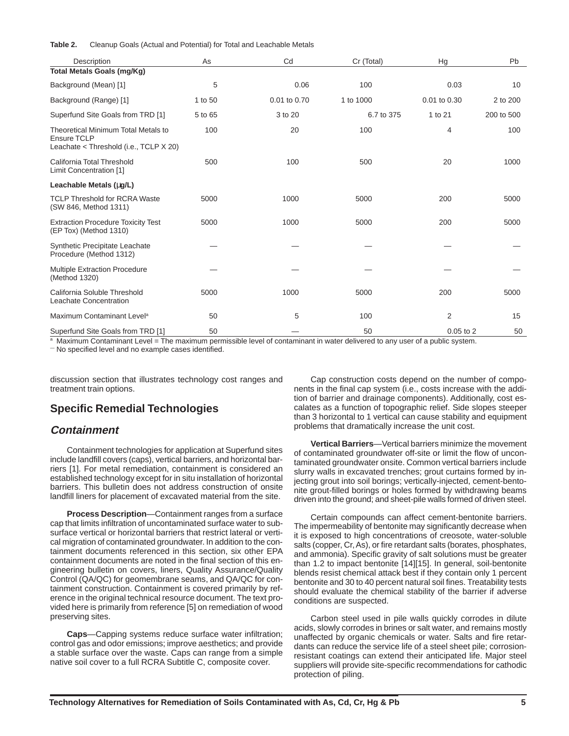**Table 2.** Cleanup Goals (Actual and Potential) for Total and Leachable Metals

| Description                                                                                         | As      | Cd           | Cr (Total) | Hg            | <b>Pb</b>  |
|-----------------------------------------------------------------------------------------------------|---------|--------------|------------|---------------|------------|
| Total Metals Goals (mg/Kg)                                                                          |         |              |            |               |            |
| Background (Mean) [1]                                                                               | 5       | 0.06         | 100        | 0.03          | 10         |
| Background (Range) [1]                                                                              | 1 to 50 | 0.01 to 0.70 | 1 to 1000  | 0.01 to 0.30  | 2 to 200   |
| Superfund Site Goals from TRD [1]                                                                   | 5 to 65 | 3 to 20      | 6.7 to 375 | 1 to 21       | 200 to 500 |
| Theoretical Minimum Total Metals to<br><b>Ensure TCLP</b><br>Leachate < Threshold (i.e., TCLP X 20) | 100     | 20           | 100        | 4             | 100        |
| California Total Threshold<br>Limit Concentration [1]                                               | 500     | 100          | 500        | 20            | 1000       |
| Leachable Metals (ug/L)                                                                             |         |              |            |               |            |
| <b>TCLP Threshold for RCRA Waste</b><br>(SW 846, Method 1311)                                       | 5000    | 1000         | 5000       | 200           | 5000       |
| <b>Extraction Procedure Toxicity Test</b><br>(EP Tox) (Method 1310)                                 | 5000    | 1000         | 5000       | 200           | 5000       |
| <b>Synthetic Precipitate Leachate</b><br>Procedure (Method 1312)                                    |         |              |            |               |            |
| <b>Multiple Extraction Procedure</b><br>(Method 1320)                                               |         |              |            |               |            |
| California Soluble Threshold<br>Leachate Concentration                                              | 5000    | 1000         | 5000       | 200           | 5000       |
| Maximum Contaminant Level <sup>a</sup>                                                              | 50      | 5            | 100        | 2             | 15         |
| Superfund Site Goals from TRD [1]                                                                   | 50      |              | 50         | $0.05$ to $2$ | 50         |

a Maximum Contaminant Level = The maximum permissible level of contaminant in water delivered to any user of a public system.

— No specified level and no example cases identified.

discussion section that illustrates technology cost ranges and treatment train options.

## **Specific Remedial Technologies**

## **Containment**

Containment technologies for application at Superfund sites include landfill covers (caps), vertical barriers, and horizontal barriers [1]. For metal remediation, containment is considered an established technology except for in situ installation of horizontal barriers. This bulletin does not address construction of onsite landfill liners for placement of excavated material from the site.

**Process Description**—Containment ranges from a surface cap that limits infiltration of uncontaminated surface water to subsurface vertical or horizontal barriers that restrict lateral or vertical migration of contaminated groundwater. In addition to the containment documents referenced in this section, six other EPA containment documents are noted in the final section of this engineering bulletin on covers, liners, Quality Assurance/Quality Control (QA/QC) for geomembrane seams, and QA/QC for containment construction. Containment is covered primarily by reference in the original technical resource document. The text provided here is primarily from reference [5] on remediation of wood preserving sites.

**Caps**—Capping systems reduce surface water infiltration; control gas and odor emissions; improve aesthetics; and provide a stable surface over the waste. Caps can range from a simple native soil cover to a full RCRA Subtitle C, composite cover.

Cap construction costs depend on the number of components in the final cap system (i.e., costs increase with the addition of barrier and drainage components). Additionally, cost escalates as a function of topographic relief. Side slopes steeper than 3 horizontal to 1 vertical can cause stability and equipment problems that dramatically increase the unit cost.

**Vertical Barriers**—Vertical barriers minimize the movement of contaminated groundwater off-site or limit the flow of uncontaminated groundwater onsite. Common vertical barriers include slurry walls in excavated trenches; grout curtains formed by injecting grout into soil borings; vertically-injected, cement-bentonite grout-filled borings or holes formed by withdrawing beams driven into the ground; and sheet-pile walls formed of driven steel.

Certain compounds can affect cement-bentonite barriers. The impermeability of bentonite may significantly decrease when it is exposed to high concentrations of creosote, water-soluble salts (copper, Cr, As), or fire retardant salts (borates, phosphates, and ammonia). Specific gravity of salt solutions must be greater than 1.2 to impact bentonite [14][15]. In general, soil-bentonite blends resist chemical attack best if they contain only 1 percent bentonite and 30 to 40 percent natural soil fines. Treatability tests should evaluate the chemical stability of the barrier if adverse conditions are suspected.

Carbon steel used in pile walls quickly corrodes in dilute acids, slowly corrodes in brines or salt water, and remains mostly unaffected by organic chemicals or water. Salts and fire retardants can reduce the service life of a steel sheet pile; corrosionresistant coatings can extend their anticipated life. Major steel suppliers will provide site-specific recommendations for cathodic protection of piling.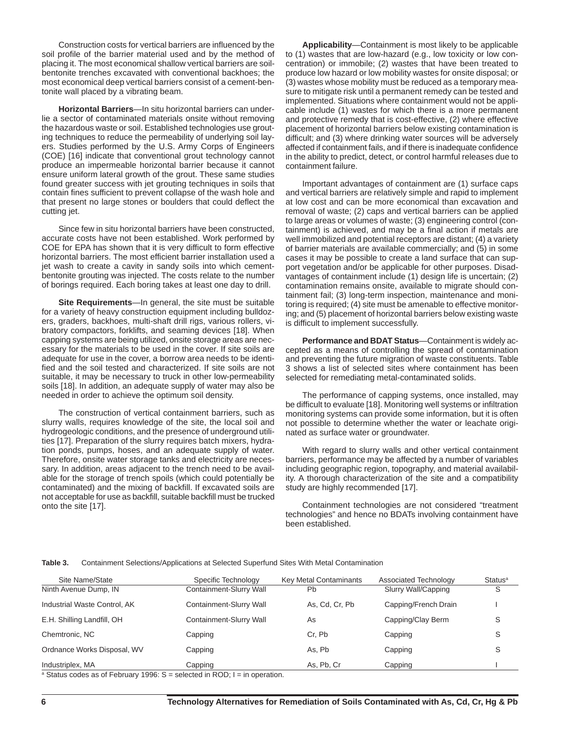Construction costs for vertical barriers are influenced by the soil profile of the barrier material used and by the method of placing it. The most economical shallow vertical barriers are soilbentonite trenches excavated with conventional backhoes; the most economical deep vertical barriers consist of a cement-bentonite wall placed by a vibrating beam.

**Horizontal Barriers**—In situ horizontal barriers can underlie a sector of contaminated materials onsite without removing the hazardous waste or soil. Established technologies use grouting techniques to reduce the permeability of underlying soil layers. Studies performed by the U.S. Army Corps of Engineers (COE) [16] indicate that conventional grout technology cannot produce an impermeable horizontal barrier because it cannot ensure uniform lateral growth of the grout. These same studies found greater success with jet grouting techniques in soils that contain fines sufficient to prevent collapse of the wash hole and that present no large stones or boulders that could deflect the cutting jet.

Since few in situ horizontal barriers have been constructed, accurate costs have not been established. Work performed by COE for EPA has shown that it is very difficult to form effective horizontal barriers. The most efficient barrier installation used a jet wash to create a cavity in sandy soils into which cementbentonite grouting was injected. The costs relate to the number of borings required. Each boring takes at least one day to drill.

**Site Requirements**—In general, the site must be suitable for a variety of heavy construction equipment including bulldozers, graders, backhoes, multi-shaft drill rigs, various rollers, vibratory compactors, forklifts, and seaming devices [18]. When capping systems are being utilized, onsite storage areas are necessary for the materials to be used in the cover. If site soils are adequate for use in the cover, a borrow area needs to be identified and the soil tested and characterized. If site soils are not suitable, it may be necessary to truck in other low-permeability soils [18]. In addition, an adequate supply of water may also be needed in order to achieve the optimum soil density.

The construction of vertical containment barriers, such as slurry walls, requires knowledge of the site, the local soil and hydrogeologic conditions, and the presence of underground utilities [17]. Preparation of the slurry requires batch mixers, hydration ponds, pumps, hoses, and an adequate supply of water. Therefore, onsite water storage tanks and electricity are necessary. In addition, areas adjacent to the trench need to be available for the storage of trench spoils (which could potentially be contaminated) and the mixing of backfill. If excavated soils are not acceptable for use as backfill, suitable backfill must be trucked onto the site [17].

**Applicability**—Containment is most likely to be applicable to (1) wastes that are low-hazard (e.g., low toxicity or low concentration) or immobile; (2) wastes that have been treated to produce low hazard or low mobility wastes for onsite disposal; or (3) wastes whose mobility must be reduced as a temporary measure to mitigate risk until a permanent remedy can be tested and implemented. Situations where containment would not be applicable include (1) wastes for which there is a more permanent and protective remedy that is cost-effective, (2) where effective placement of horizontal barriers below existing contamination is difficult; and (3) where drinking water sources will be adversely affected if containment fails, and if there is inadequate confidence in the ability to predict, detect, or control harmful releases due to containment failure.

Important advantages of containment are (1) surface caps and vertical barriers are relatively simple and rapid to implement at low cost and can be more economical than excavation and removal of waste; (2) caps and vertical barriers can be applied to large areas or volumes of waste; (3) engineering control (containment) is achieved, and may be a final action if metals are well immobilized and potential receptors are distant; (4) a variety of barrier materials are available commercially; and (5) in some cases it may be possible to create a land surface that can support vegetation and/or be applicable for other purposes. Disadvantages of containment include (1) design life is uncertain; (2) contamination remains onsite, available to migrate should containment fail; (3) long-term inspection, maintenance and monitoring is required; (4) site must be amenable to effective monitoring; and (5) placement of horizontal barriers below existing waste is difficult to implement successfully.

**Performance and BDAT Status**—Containment is widely accepted as a means of controlling the spread of contamination and preventing the future migration of waste constituents. Table 3 shows a list of selected sites where containment has been selected for remediating metal-contaminated solids.

The performance of capping systems, once installed, may be difficult to evaluate [18]. Monitoring well systems or infiltration monitoring systems can provide some information, but it is often not possible to determine whether the water or leachate originated as surface water or groundwater.

With regard to slurry walls and other vertical containment barriers, performance may be affected by a number of variables including geographic region, topography, and material availability. A thorough characterization of the site and a compatibility study are highly recommended [17].

Containment technologies are not considered "treatment technologies" and hence no BDATs involving containment have been established.

#### **Table 3.** Containment Selections/Applications at Selected Superfund Sites With Metal Contamination

| Site Name/State                                                              | Specific Technology     | <b>Key Metal Contaminants</b> | Associated Technology | Status <sup>a</sup> |
|------------------------------------------------------------------------------|-------------------------|-------------------------------|-----------------------|---------------------|
| Ninth Avenue Dump, IN                                                        | Containment-Slurry Wall | Pb                            | Slurry Wall/Capping   | S                   |
| Industrial Waste Control, AK                                                 | Containment-Slurry Wall | As, Cd, Cr, Pb                | Capping/French Drain  |                     |
| E.H. Shilling Landfill, OH                                                   | Containment-Slurry Wall | As                            | Capping/Clay Berm     | S                   |
| Chemtronic, NC                                                               | Capping                 | Cr. Pb                        | Capping               | S                   |
| Ordnance Works Disposal, WV                                                  | Capping                 | As. Pb                        | Capping               | S                   |
| Industriplex, MA                                                             | Capping                 | As, Pb, Cr                    | Capping               |                     |
| $^a$ Status codes as of Eebruary 1996; S – selected in POD; L – in operation |                         |                               |                       |                     |

Status codes as of February 1996:  $S$  = selected in ROD;  $I$  = in operation.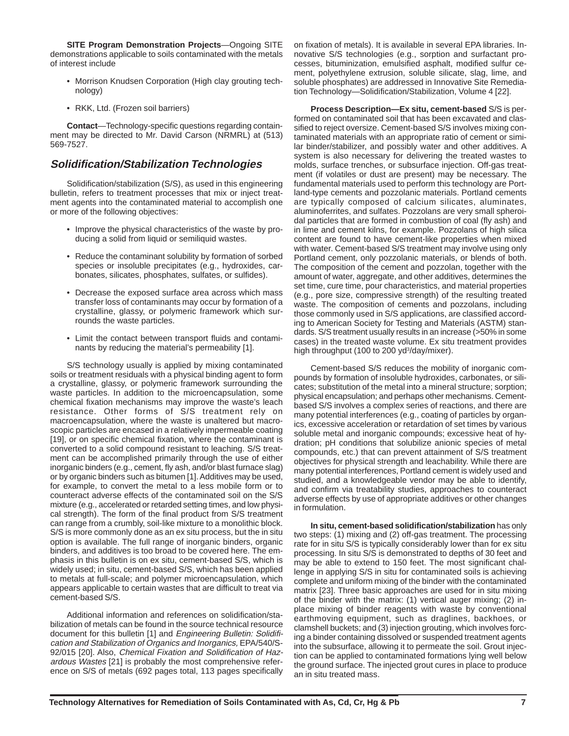**SITE Program Demonstration Projects**—Ongoing SITE demonstrations applicable to soils contaminated with the metals of interest include

- Morrison Knudsen Corporation (High clay grouting technology)
- RKK, Ltd. (Frozen soil barriers)

**Contact**—Technology-specific questions regarding containment may be directed to Mr. David Carson (NRMRL) at (513) 569-7527.

## **Solidification/Stabilization Technologies**

Solidification/stabilization (S/S), as used in this engineering bulletin, refers to treatment processes that mix or inject treatment agents into the contaminated material to accomplish one or more of the following objectives:

- Improve the physical characteristics of the waste by producing a solid from liquid or semiliquid wastes.
- Reduce the contaminant solubility by formation of sorbed species or insoluble precipitates (e.g., hydroxides, carbonates, silicates, phosphates, sulfates, or sulfides).
- Decrease the exposed surface area across which mass transfer loss of contaminants may occur by formation of a crystalline, glassy, or polymeric framework which surrounds the waste particles.
- Limit the contact between transport fluids and contaminants by reducing the material's permeability [1].

S/S technology usually is applied by mixing contaminated soils or treatment residuals with a physical binding agent to form a crystalline, glassy, or polymeric framework surrounding the waste particles. In addition to the microencapsulation, some chemical fixation mechanisms may improve the waste's leach resistance. Other forms of S/S treatment rely on macroencapsulation, where the waste is unaltered but macroscopic particles are encased in a relatively impermeable coating [19], or on specific chemical fixation, where the contaminant is converted to a solid compound resistant to leaching. S/S treatment can be accomplished primarily through the use of either inorganic binders (e.g., cement, fly ash, and/or blast furnace slag) or by organic binders such as bitumen [1]. Additives may be used, for example, to convert the metal to a less mobile form or to counteract adverse effects of the contaminated soil on the S/S mixture (e.g., accelerated or retarded setting times, and low physical strength). The form of the final product from S/S treatment can range from a crumbly, soil-like mixture to a monolithic block. S/S is more commonly done as an ex situ process, but the in situ option is available. The full range of inorganic binders, organic binders, and additives is too broad to be covered here. The emphasis in this bulletin is on ex situ, cement-based S/S, which is widely used; in situ, cement-based S/S, which has been applied to metals at full-scale; and polymer microencapsulation, which appears applicable to certain wastes that are difficult to treat via cement-based S/S.

Additional information and references on solidification/stabilization of metals can be found in the source technical resource document for this bulletin [1] and Engineering Bulletin: Solidification and Stabilization of Organics and Inorganics, EPA/540/S-92/015 [20]. Also, Chemical Fixation and Solidification of Hazardous Wastes [21] is probably the most comprehensive reference on S/S of metals (692 pages total, 113 pages specifically on fixation of metals). It is available in several EPA libraries. Innovative S/S technologies (e.g., sorption and surfactant processes, bituminization, emulsified asphalt, modified sulfur cement, polyethylene extrusion, soluble silicate, slag, lime, and soluble phosphates) are addressed in Innovative Site Remediation Technology—Solidification/Stabilization, Volume 4 [22].

**Process Description—Ex situ, cement-based** S/S is performed on contaminated soil that has been excavated and classified to reject oversize. Cement-based S/S involves mixing contaminated materials with an appropriate ratio of cement or similar binder/stabilizer, and possibly water and other additives. A system is also necessary for delivering the treated wastes to molds, surface trenches, or subsurface injection. Off-gas treatment (if volatiles or dust are present) may be necessary. The fundamental materials used to perform this technology are Portland-type cements and pozzolanic materials. Portland cements are typically composed of calcium silicates, aluminates, aluminoferrites, and sulfates. Pozzolans are very small spheroidal particles that are formed in combustion of coal (fly ash) and in lime and cement kilns, for example. Pozzolans of high silica content are found to have cement-like properties when mixed with water. Cement-based S/S treatment may involve using only Portland cement, only pozzolanic materials, or blends of both. The composition of the cement and pozzolan, together with the amount of water, aggregate, and other additives, determines the set time, cure time, pour characteristics, and material properties (e.g., pore size, compressive strength) of the resulting treated waste. The composition of cements and pozzolans, including those commonly used in S/S applications, are classified according to American Society for Testing and Materials (ASTM) standards. S/S treatment usually results in an increase (>50% in some cases) in the treated waste volume. Ex situ treatment provides high throughput (100 to 200 yd<sup>3</sup>/day/mixer).

Cement-based S/S reduces the mobility of inorganic compounds by formation of insoluble hydroxides, carbonates, or silicates; substitution of the metal into a mineral structure; sorption; physical encapsulation; and perhaps other mechanisms. Cementbased S/S involves a complex series of reactions, and there are many potential interferences (e.g., coating of particles by organics, excessive acceleration or retardation of set times by various soluble metal and inorganic compounds; excessive heat of hydration; pH conditions that solubilize anionic species of metal compounds, etc.) that can prevent attainment of S/S treatment objectives for physical strength and leachability. While there are many potential interferences, Portland cement is widely used and studied, and a knowledgeable vendor may be able to identify, and confirm via treatability studies, approaches to counteract adverse effects by use of appropriate additives or other changes in formulation.

**In situ, cement-based solidification/stabilization** has only two steps: (1) mixing and (2) off-gas treatment. The processing rate for in situ S/S is typically considerably lower than for ex situ processing. In situ S/S is demonstrated to depths of 30 feet and may be able to extend to 150 feet. The most significant challenge in applying S/S in situ for contaminated soils is achieving complete and uniform mixing of the binder with the contaminated matrix [23]. Three basic approaches are used for in situ mixing of the binder with the matrix: (1) vertical auger mixing; (2) inplace mixing of binder reagents with waste by conventional earthmoving equipment, such as draglines, backhoes, or clamshell buckets; and (3) injection grouting, which involves forcing a binder containing dissolved or suspended treatment agents into the subsurface, allowing it to permeate the soil. Grout injection can be applied to contaminated formations lying well below the ground surface. The injected grout cures in place to produce an in situ treated mass.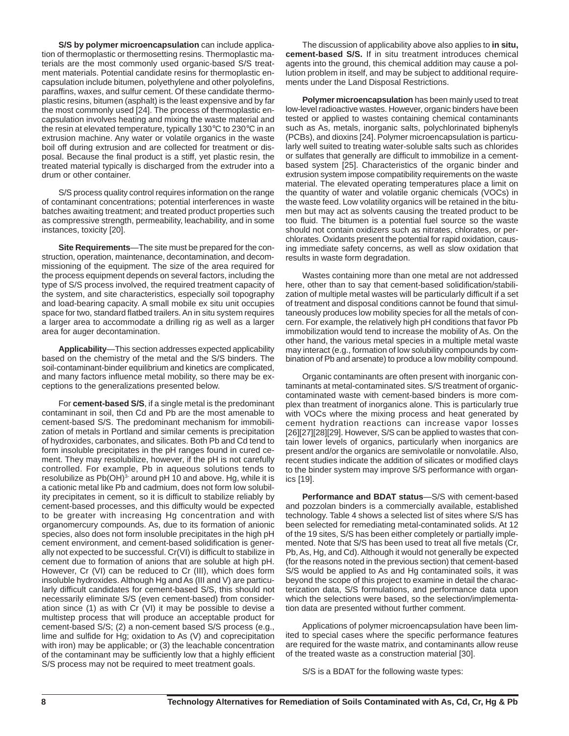**S/S by polymer microencapsulation** can include application of thermoplastic or thermosetting resins. Thermoplastic materials are the most commonly used organic-based S/S treatment materials. Potential candidate resins for thermoplastic encapsulation include bitumen, polyethylene and other polyolefins, paraffins, waxes, and sulfur cement. Of these candidate thermoplastic resins, bitumen (asphalt) is the least expensive and by far the most commonly used [24]. The process of thermoplastic encapsulation involves heating and mixing the waste material and the resin at elevated temperature, typically 130°C to 230°C in an extrusion machine. Any water or volatile organics in the waste boil off during extrusion and are collected for treatment or disposal. Because the final product is a stiff, yet plastic resin, the treated material typically is discharged from the extruder into a drum or other container.

S/S process quality control requires information on the range of contaminant concentrations; potential interferences in waste batches awaiting treatment; and treated product properties such as compressive strength, permeability, leachability, and in some instances, toxicity [20].

**Site Requirements**—The site must be prepared for the construction, operation, maintenance, decontamination, and decommissioning of the equipment. The size of the area required for the process equipment depends on several factors, including the type of S/S process involved, the required treatment capacity of the system, and site characteristics, especially soil topography and load-bearing capacity. A small mobile ex situ unit occupies space for two, standard flatbed trailers. An in situ system requires a larger area to accommodate a drilling rig as well as a larger area for auger decontamination.

**Applicability**—This section addresses expected applicability based on the chemistry of the metal and the S/S binders. The soil-contaminant-binder equilibrium and kinetics are complicated, and many factors influence metal mobility, so there may be exceptions to the generalizations presented below.

For **cement-based S/S**, if a single metal is the predominant contaminant in soil, then Cd and Pb are the most amenable to cement-based S/S. The predominant mechanism for immobilization of metals in Portland and similar cements is precipitation of hydroxides, carbonates, and silicates. Both Pb and Cd tend to form insoluble precipitates in the pH ranges found in cured cement. They may resolubilize, however, if the pH is not carefully controlled. For example, Pb in aqueous solutions tends to resolubilize as  $Pb(OH)<sup>3-</sup>$  around pH 10 and above. Hg, while it is a cationic metal like Pb and cadmium, does not form low solubility precipitates in cement, so it is difficult to stabilize reliably by cement-based processes, and this difficulty would be expected to be greater with increasing Hg concentration and with organomercury compounds. As, due to its formation of anionic species, also does not form insoluble precipitates in the high pH cement environment, and cement-based solidification is generally not expected to be successful. Cr(VI) is difficult to stabilize in cement due to formation of anions that are soluble at high pH. However, Cr (VI) can be reduced to Cr (III), which does form insoluble hydroxides. Although Hg and As (III and V) are particularly difficult candidates for cement-based S/S, this should not necessarily eliminate S/S (even cement-based) from consideration since (1) as with Cr (VI) it may be possible to devise a multistep process that will produce an acceptable product for cement-based S/S; (2) a non-cement based S/S process (e.g., lime and sulfide for Hg; oxidation to As (V) and coprecipitation with iron) may be applicable; or (3) the leachable concentration of the contaminant may be sufficiently low that a highly efficient S/S process may not be required to meet treatment goals.

The discussion of applicability above also applies to **in situ, cement-based S/S.** If in situ treatment introduces chemical agents into the ground, this chemical addition may cause a pollution problem in itself, and may be subject to additional requirements under the Land Disposal Restrictions.

**Polymer microencapsulation** has been mainly used to treat low-level radioactive wastes. However, organic binders have been tested or applied to wastes containing chemical contaminants such as As, metals, inorganic salts, polychlorinated biphenyls (PCBs), and dioxins [24]. Polymer microencapsulation is particularly well suited to treating water-soluble salts such as chlorides or sulfates that generally are difficult to immobilize in a cementbased system [25]. Characteristics of the organic binder and extrusion system impose compatibility requirements on the waste material. The elevated operating temperatures place a limit on the quantity of water and volatile organic chemicals (VOCs) in the waste feed. Low volatility organics will be retained in the bitumen but may act as solvents causing the treated product to be too fluid. The bitumen is a potential fuel source so the waste should not contain oxidizers such as nitrates, chlorates, or perchlorates. Oxidants present the potential for rapid oxidation, causing immediate safety concerns, as well as slow oxidation that results in waste form degradation.

Wastes containing more than one metal are not addressed here, other than to say that cement-based solidification/stabilization of multiple metal wastes will be particularly difficult if a set of treatment and disposal conditions cannot be found that simultaneously produces low mobility species for all the metals of concern. For example, the relatively high pH conditions that favor Pb immobilization would tend to increase the mobility of As. On the other hand, the various metal species in a multiple metal waste may interact (e.g., formation of low solubility compounds by combination of Pb and arsenate) to produce a low mobility compound.

Organic contaminants are often present with inorganic contaminants at metal-contaminated sites. S/S treatment of organiccontaminated waste with cement-based binders is more complex than treatment of inorganics alone. This is particularly true with VOCs where the mixing process and heat generated by cement hydration reactions can increase vapor losses [26][27][28][29]. However, S/S can be applied to wastes that contain lower levels of organics, particularly when inorganics are present and/or the organics are semivolatile or nonvolatile. Also, recent studies indicate the addition of silicates or modified clays to the binder system may improve S/S performance with organics [19].

**Performance and BDAT status**—S/S with cement-based and pozzolan binders is a commercially available, established technology. Table 4 shows a selected list of sites where S/S has been selected for remediating metal-contaminated solids. At 12 of the 19 sites, S/S has been either completely or partially implemented. Note that S/S has been used to treat all five metals (Cr, Pb, As, Hg, and Cd). Although it would not generally be expected (for the reasons noted in the previous section) that cement-based S/S would be applied to As and Hg contaminated soils, it was beyond the scope of this project to examine in detail the characterization data, S/S formulations, and performance data upon which the selections were based, so the selection/implementation data are presented without further comment.

Applications of polymer microencapsulation have been limited to special cases where the specific performance features are required for the waste matrix, and contaminants allow reuse of the treated waste as a construction material [30].

S/S is a BDAT for the following waste types: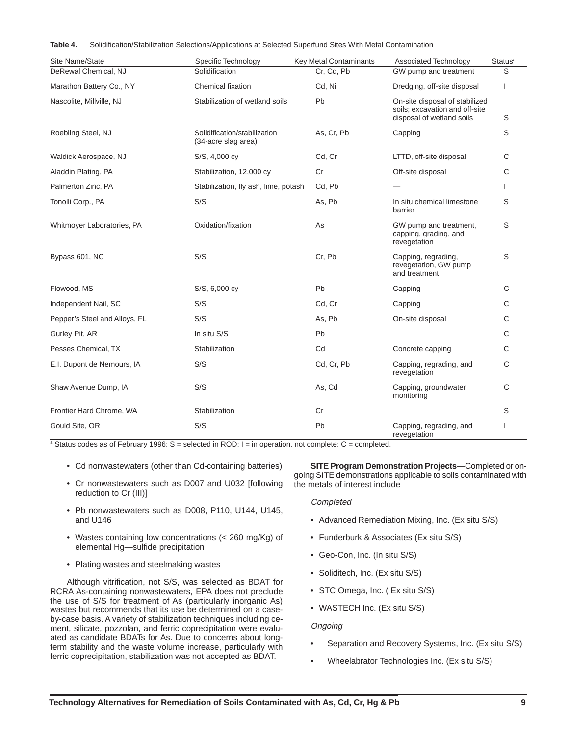**Table 4.** Solidification/Stabilization Selections/Applications at Selected Superfund Sites With Metal Contamination

| Site Name/State               | Specific Technology                                 | <b>Key Metal Contaminants</b> | Associated Technology                                                                         | Status <sup>a</sup> |
|-------------------------------|-----------------------------------------------------|-------------------------------|-----------------------------------------------------------------------------------------------|---------------------|
| DeRewal Chemical, NJ          | Solidification                                      | Cr. Cd. Pb                    | GW pump and treatment                                                                         | S                   |
| Marathon Battery Co., NY      | Chemical fixation                                   | Cd, Ni                        | Dredging, off-site disposal                                                                   | ı                   |
| Nascolite, Millville, NJ      | Stabilization of wetland soils                      | Pb                            | On-site disposal of stabilized<br>soils; excavation and off-site<br>disposal of wetland soils | S                   |
| Roebling Steel, NJ            | Solidification/stabilization<br>(34-acre slag area) | As, Cr, Pb                    | Capping                                                                                       | S                   |
| Waldick Aerospace, NJ         | S/S, 4,000 cy                                       | Cd, Cr                        | LTTD, off-site disposal                                                                       | C                   |
| Aladdin Plating, PA           | Stabilization, 12,000 cy                            | Cr                            | Off-site disposal                                                                             | C                   |
| Palmerton Zinc, PA            | Stabilization, fly ash, lime, potash                | Cd, Pb                        |                                                                                               | $\mathsf{I}$        |
| Tonolli Corp., PA             | S/S                                                 | As, Pb                        | In situ chemical limestone<br>barrier                                                         | S                   |
| Whitmoyer Laboratories, PA    | Oxidation/fixation                                  | As                            | GW pump and treatment,<br>capping, grading, and<br>revegetation                               | S                   |
| Bypass 601, NC                | S/S                                                 | Cr, Pb                        | Capping, regrading,<br>revegetation, GW pump<br>and treatment                                 | S                   |
| Flowood, MS                   | S/S, 6,000 cy                                       | Pb                            | Capping                                                                                       | C                   |
| Independent Nail, SC          | S/S                                                 | Cd, Cr                        | Capping                                                                                       | C                   |
| Pepper's Steel and Alloys, FL | S/S                                                 | As, Pb                        | On-site disposal                                                                              | C                   |
| Gurley Pit, AR                | In situ S/S                                         | <b>Pb</b>                     |                                                                                               | $\mathsf{C}$        |
| Pesses Chemical, TX           | Stabilization                                       | Cd                            | Concrete capping                                                                              | C                   |
| E.I. Dupont de Nemours, IA    | S/S                                                 | Cd, Cr, Pb                    | Capping, regrading, and<br>revegetation                                                       | С                   |
| Shaw Avenue Dump, IA          | S/S                                                 | As, Cd                        | Capping, groundwater<br>monitoring                                                            | C                   |
| Frontier Hard Chrome, WA      | Stabilization                                       | Cr                            |                                                                                               | S                   |
| Gould Site, OR                | S/S                                                 | Pb                            | Capping, regrading, and<br>revegetation                                                       | ı                   |

<sup>a</sup> Status codes as of February 1996: S = selected in ROD; I = in operation, not complete; C = completed.

- Cd nonwastewaters (other than Cd-containing batteries)
- Cr nonwastewaters such as D007 and U032 [following reduction to Cr (III)]
- Pb nonwastewaters such as D008, P110, U144, U145, and U146
- Wastes containing low concentrations (< 260 mg/Kg) of elemental Hg—sulfide precipitation
- Plating wastes and steelmaking wastes

Although vitrification, not S/S, was selected as BDAT for RCRA As-containing nonwastewaters, EPA does not preclude the use of S/S for treatment of As (particularly inorganic As) wastes but recommends that its use be determined on a caseby-case basis. A variety of stabilization techniques including cement, silicate, pozzolan, and ferric coprecipitation were evaluated as candidate BDATs for As. Due to concerns about longterm stability and the waste volume increase, particularly with ferric coprecipitation, stabilization was not accepted as BDAT.

**SITE Program Demonstration Projects**—Completed or ongoing SITE demonstrations applicable to soils contaminated with the metals of interest include

#### **Completed**

- Advanced Remediation Mixing, Inc. (Ex situ S/S)
- Funderburk & Associates (Ex situ S/S)
- Geo-Con, Inc. (In situ S/S)
- Soliditech, Inc. (Ex situ S/S)
- STC Omega, Inc. ( Ex situ S/S)
- WASTECH Inc. (Ex situ S/S)

#### **Ongoing**

- Separation and Recovery Systems, Inc. (Ex situ S/S)
- Wheelabrator Technologies Inc. (Ex situ S/S)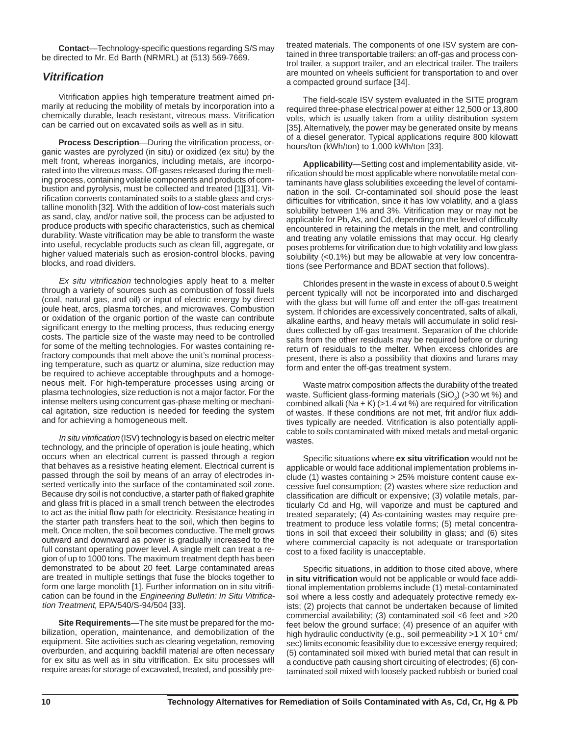**Contact**—Technology-specific questions regarding S/S may be directed to Mr. Ed Barth (NRMRL) at (513) 569-7669.

## **Vitrification**

Vitrification applies high temperature treatment aimed primarily at reducing the mobility of metals by incorporation into a chemically durable, leach resistant, vitreous mass. Vitrification can be carried out on excavated soils as well as in situ.

**Process Description**—During the vitrification process, organic wastes are pyrolyzed (in situ) or oxidized (ex situ) by the melt front, whereas inorganics, including metals, are incorporated into the vitreous mass. Off-gases released during the melting process, containing volatile components and products of combustion and pyrolysis, must be collected and treated [1][31]. Vitrification converts contaminated soils to a stable glass and crystalline monolith [32]. With the addition of low-cost materials such as sand, clay, and/or native soil, the process can be adjusted to produce products with specific characteristics, such as chemical durability. Waste vitrification may be able to transform the waste into useful, recyclable products such as clean fill, aggregate, or higher valued materials such as erosion-control blocks, paving blocks, and road dividers.

Ex situ vitrification technologies apply heat to a melter through a variety of sources such as combustion of fossil fuels (coal, natural gas, and oil) or input of electric energy by direct joule heat, arcs, plasma torches, and microwaves. Combustion or oxidation of the organic portion of the waste can contribute significant energy to the melting process, thus reducing energy costs. The particle size of the waste may need to be controlled for some of the melting technologies. For wastes containing refractory compounds that melt above the unit's nominal processing temperature, such as quartz or alumina, size reduction may be required to achieve acceptable throughputs and a homogeneous melt. For high-temperature processes using arcing or plasma technologies, size reduction is not a major factor. For the intense melters using concurrent gas-phase melting or mechanical agitation, size reduction is needed for feeding the system and for achieving a homogeneous melt.

In situ vitrification (ISV) technology is based on electric melter technology, and the principle of operation is joule heating, which occurs when an electrical current is passed through a region that behaves as a resistive heating element. Electrical current is passed through the soil by means of an array of electrodes inserted vertically into the surface of the contaminated soil zone. Because dry soil is not conductive, a starter path of flaked graphite and glass frit is placed in a small trench between the electrodes to act as the initial flow path for electricity. Resistance heating in the starter path transfers heat to the soil, which then begins to melt. Once molten, the soil becomes conductive. The melt grows outward and downward as power is gradually increased to the full constant operating power level. A single melt can treat a region of up to 1000 tons. The maximum treatment depth has been demonstrated to be about 20 feet. Large contaminated areas are treated in multiple settings that fuse the blocks together to form one large monolith [1]. Further information on in situ vitrification can be found in the Engineering Bulletin: In Situ Vitrification Treatment, EPA/540/S-94/504 [33].

**Site Requirements**—The site must be prepared for the mobilization, operation, maintenance, and demobilization of the equipment. Site activities such as clearing vegetation, removing overburden, and acquiring backfill material are often necessary for ex situ as well as in situ vitrification. Ex situ processes will require areas for storage of excavated, treated, and possibly pretreated materials. The components of one ISV system are contained in three transportable trailers: an off-gas and process control trailer, a support trailer, and an electrical trailer. The trailers are mounted on wheels sufficient for transportation to and over a compacted ground surface [34].

The field-scale ISV system evaluated in the SITE program required three-phase electrical power at either 12,500 or 13,800 volts, which is usually taken from a utility distribution system [35]. Alternatively, the power may be generated onsite by means of a diesel generator. Typical applications require 800 kilowatt hours/ton (kWh/ton) to 1,000 kWh/ton [33].

**Applicability**—Setting cost and implementability aside, vitrification should be most applicable where nonvolatile metal contaminants have glass solubilities exceeding the level of contamination in the soil. Cr-contaminated soil should pose the least difficulties for vitrification, since it has low volatility, and a glass solubility between 1% and 3%. Vitrification may or may not be applicable for Pb, As, and Cd, depending on the level of difficulty encountered in retaining the metals in the melt, and controlling and treating any volatile emissions that may occur. Hg clearly poses problems for vitrification due to high volatility and low glass solubility (<0.1%) but may be allowable at very low concentrations (see Performance and BDAT section that follows).

Chlorides present in the waste in excess of about 0.5 weight percent typically will not be incorporated into and discharged with the glass but will fume off and enter the off-gas treatment system. If chlorides are excessively concentrated, salts of alkali, alkaline earths, and heavy metals will accumulate in solid residues collected by off-gas treatment. Separation of the chloride salts from the other residuals may be required before or during return of residuals to the melter. When excess chlorides are present, there is also a possibility that dioxins and furans may form and enter the off-gas treatment system.

Waste matrix composition affects the durability of the treated waste. Sufficient glass-forming materials (SiO $_2$ ) (>30 wt %) and combined alkali (Na + K) (>1.4 wt %) are required for vitrification of wastes. If these conditions are not met, frit and/or flux additives typically are needed. Vitrification is also potentially applicable to soils contaminated with mixed metals and metal-organic wastes.

Specific situations where **ex situ vitrification** would not be applicable or would face additional implementation problems include (1) wastes containing > 25% moisture content cause excessive fuel consumption; (2) wastes where size reduction and classification are difficult or expensive; (3) volatile metals, particularly Cd and Hg, will vaporize and must be captured and treated separately; (4) As-containing wastes may require pretreatment to produce less volatile forms; (5) metal concentrations in soil that exceed their solubility in glass; and (6) sites where commercial capacity is not adequate or transportation cost to a fixed facility is unacceptable.

Specific situations, in addition to those cited above, where **in situ vitrification** would not be applicable or would face additional implementation problems include (1) metal-contaminated soil where a less costly and adequately protective remedy exists; (2) projects that cannot be undertaken because of limited commercial availability; (3) contaminated soil <6 feet and >20 feet below the ground surface; (4) presence of an aquifer with high hydraulic conductivity (e.g., soil permeability  $>1$  X 10<sup>-5</sup> cm/ sec) limits economic feasibility due to excessive energy required; (5) contaminated soil mixed with buried metal that can result in a conductive path causing short circuiting of electrodes; (6) contaminated soil mixed with loosely packed rubbish or buried coal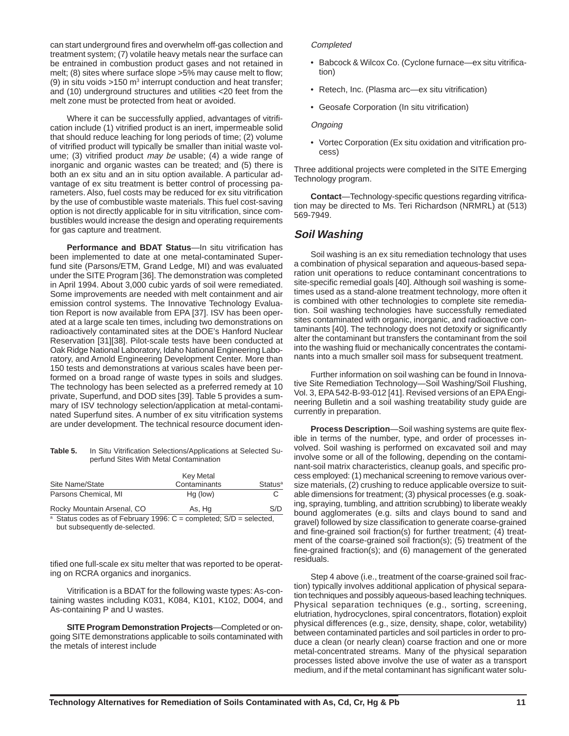can start underground fires and overwhelm off-gas collection and treatment system; (7) volatile heavy metals near the surface can be entrained in combustion product gases and not retained in melt; (8) sites where surface slope >5% may cause melt to flow; (9) in situ voids >150  $m^3$  interrupt conduction and heat transfer; and (10) underground structures and utilities <20 feet from the melt zone must be protected from heat or avoided.

Where it can be successfully applied, advantages of vitrification include (1) vitrified product is an inert, impermeable solid that should reduce leaching for long periods of time; (2) volume of vitrified product will typically be smaller than initial waste volume; (3) vitrified product *may be* usable; (4) a wide range of inorganic and organic wastes can be treated; and (5) there is both an ex situ and an in situ option available. A particular advantage of ex situ treatment is better control of processing parameters. Also, fuel costs may be reduced for ex situ vitrification by the use of combustible waste materials. This fuel cost-saving option is not directly applicable for in situ vitrification, since combustibles would increase the design and operating requirements for gas capture and treatment.

**Performance and BDAT Status**—In situ vitrification has been implemented to date at one metal-contaminated Superfund site (Parsons/ETM, Grand Ledge, MI) and was evaluated under the SITE Program [36]. The demonstration was completed in April 1994. About 3,000 cubic yards of soil were remediated. Some improvements are needed with melt containment and air emission control systems. The Innovative Technology Evaluation Report is now available from EPA [37]. ISV has been operated at a large scale ten times, including two demonstrations on radioactively contaminated sites at the DOE's Hanford Nuclear Reservation [31][38]. Pilot-scale tests have been conducted at Oak Ridge National Laboratory, Idaho National Engineering Laboratory, and Arnold Engineering Development Center. More than 150 tests and demonstrations at various scales have been performed on a broad range of waste types in soils and sludges. The technology has been selected as a preferred remedy at 10 private, Superfund, and DOD sites [39]. Table 5 provides a summary of ISV technology selection/application at metal-contaminated Superfund sites. A number of ex situ vitrification systems are under development. The technical resource document iden-

**Table 5.** In Situ Vitrification Selections/Applications at Selected Superfund Sites With Metal Contamination

|                            | Key Metal    |                     |
|----------------------------|--------------|---------------------|
| Site Name/State            | Contaminants | Status <sup>a</sup> |
| Parsons Chemical, MI       | Hg (low)     |                     |
| Rocky Mountain Arsenal, CO | As, Hg       | S/D                 |

 $\overline{a}$  Status codes as of February 1996: C = completed; S/D = selected, but subsequently de-selected.

tified one full-scale ex situ melter that was reported to be operating on RCRA organics and inorganics.

Vitrification is a BDAT for the following waste types: As-containing wastes including K031, K084, K101, K102, D004, and As-containing P and U wastes.

**SITE Program Demonstration Projects**—Completed or ongoing SITE demonstrations applicable to soils contaminated with the metals of interest include

#### Completed

- Babcock & Wilcox Co. (Cyclone furnace—ex situ vitrification)
- Retech, Inc. (Plasma arc—ex situ vitrification)
- Geosafe Corporation (In situ vitrification)

#### **Ongoing**

• Vortec Corporation (Ex situ oxidation and vitrification process)

Three additional projects were completed in the SITE Emerging Technology program.

**Contact**—Technology-specific questions regarding vitrification may be directed to Ms. Teri Richardson (NRMRL) at (513) 569-7949.

## **Soil Washing**

Soil washing is an ex situ remediation technology that uses a combination of physical separation and aqueous-based separation unit operations to reduce contaminant concentrations to site-specific remedial goals [40]. Although soil washing is sometimes used as a stand-alone treatment technology, more often it is combined with other technologies to complete site remediation. Soil washing technologies have successfully remediated sites contaminated with organic, inorganic, and radioactive contaminants [40]. The technology does not detoxify or significantly alter the contaminant but transfers the contaminant from the soil into the washing fluid or mechanically concentrates the contaminants into a much smaller soil mass for subsequent treatment.

Further information on soil washing can be found in Innovative Site Remediation Technology—Soil Washing/Soil Flushing, Vol. 3, EPA 542-B-93-012 [41]. Revised versions of an EPA Engineering Bulletin and a soil washing treatability study guide are currently in preparation.

**Process Description**—Soil washing systems are quite flexible in terms of the number, type, and order of processes involved. Soil washing is performed on excavated soil and may involve some or all of the following, depending on the contaminant-soil matrix characteristics, cleanup goals, and specific process employed: (1) mechanical screening to remove various oversize materials, (2) crushing to reduce applicable oversize to suitable dimensions for treatment; (3) physical processes (e.g. soaking, spraying, tumbling, and attrition scrubbing) to liberate weakly bound agglomerates (e.g. silts and clays bound to sand and gravel) followed by size classification to generate coarse-grained and fine-grained soil fraction(s) for further treatment; (4) treatment of the coarse-grained soil fraction(s); (5) treatment of the fine-grained fraction(s); and (6) management of the generated residuals.

Step 4 above (i.e., treatment of the coarse-grained soil fraction) typically involves additional application of physical separation techniques and possibly aqueous-based leaching techniques. Physical separation techniques (e.g., sorting, screening, elutriation, hydrocyclones, spiral concentrators, flotation) exploit physical differences (e.g., size, density, shape, color, wetability) between contaminated particles and soil particles in order to produce a clean (or nearly clean) coarse fraction and one or more metal-concentrated streams. Many of the physical separation processes listed above involve the use of water as a transport medium, and if the metal contaminant has significant water solu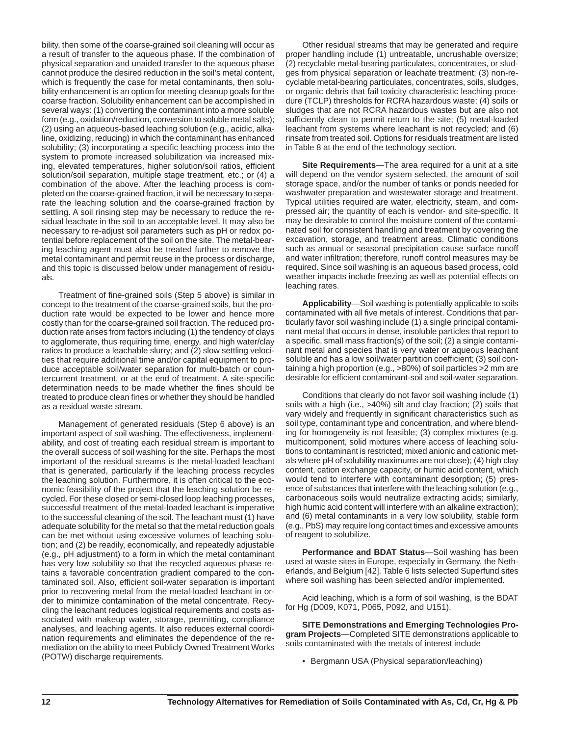bility, then some of the coarse-grained soil cleaning will occur as a result of transfer to the aqueous phase. If the combination of physical separation and unaided transfer to the aqueous phase cannot produce the desired reduction in the soil's metal content, which is frequently the case for metal contaminants, then solubility enhancement is an option for meeting cleanup goals for the coarse fraction. Solubility enhancement can be accomplished in several ways: (1) converting the contaminant into a more soluble form (e.g., oxidation/reduction, conversion to soluble metal salts); (2) using an aqueous-based leaching solution (e.g., acidic, alkaline, oxidizing, reducing) in which the contaminant has enhanced solubility; (3) incorporating a specific leaching process into the system to promote increased solubilization via increased mixing, elevated temperatures, higher solution/soil ratios, efficient solution/soil separation, multiple stage treatment, etc.; or (4) a combination of the above. After the leaching process is completed on the coarse-grained fraction, it will be necessary to separate the leaching solution and the coarse-grained fraction by settling. A soil rinsing step may be necessary to reduce the residual leachate in the soil to an acceptable level. It may also be necessary to re-adjust soil parameters such as pH or redox potential before replacement of the soil on the site. The metal-bearing leaching agent must also be treated further to remove the metal contaminant and permit reuse in the process or discharge, and this topic is discussed below under management of residuals.

Treatment of fine-grained soils (Step 5 above) is similar in concept to the treatment of the coarse-grained soils, but the production rate would be expected to be lower and hence more costly than for the coarse-grained soil fraction. The reduced production rate arises from factors including (1) the tendency of clays to agglomerate, thus requiring time, energy, and high water/clay ratios to produce a leachable slurry; and (2) slow settling velocities that require additional time and/or capital equipment to produce acceptable soil/water separation for multi-batch or countercurrent treatment, or at the end of treatment. A site-specific determination needs to be made whether the fines should be treated to produce clean fines or whether they should be handled as a residual waste stream.

Management of generated residuals (Step 6 above) is an important aspect of soil washing. The effectiveness, implementability, and cost of treating each residual stream is important to the overall success of soil washing for the site. Perhaps the most important of the residual streams is the metal-loaded leachant that is generated, particularly if the leaching process recycles the leaching solution. Furthermore, it is often critical to the economic feasibility of the project that the leaching solution be recycled. For these closed or semi-closed loop leaching processes, successful treatment of the metal-loaded leachant is imperative to the successful cleaning of the soil. The leachant must (1) have adequate solubility for the metal so that the metal reduction goals can be met without using excessive volumes of leaching solution; and (2) be readily, economically, and repeatedly adjustable (e.g., pH adjustment) to a form in which the metal contaminant has very low solubility so that the recycled aqueous phase retains a favorable concentration gradient compared to the contaminated soil. Also, efficient soil-water separation is important prior to recovering metal from the metal-loaded leachant in order to minimize contamination of the metal concentrate. Recycling the leachant reduces logistical requirements and costs associated with makeup water, storage, permitting, compliance analyses, and leaching agents. It also reduces external coordination requirements and eliminates the dependence of the remediation on the ability to meet Publicly Owned Treatment Works (POTW) discharge requirements.

Other residual streams that may be generated and require proper handling include (1) untreatable, uncrushable oversize; (2) recyclable metal-bearing particulates, concentrates, or sludges from physical separation or leachate treatment; (3) non-recyclable metal-bearing particulates, concentrates, soils, sludges, or organic debris that fail toxicity characteristic leaching procedure (TCLP) thresholds for RCRA hazardous waste; (4) soils or sludges that are not RCRA hazardous wastes but are also not sufficiently clean to permit return to the site; (5) metal-loaded leachant from systems where leachant is not recycled; and (6) rinsate from treated soil. Options for residuals treatment are listed in Table 8 at the end of the technology section.

**Site Requirements**—The area required for a unit at a site will depend on the vendor system selected, the amount of soil storage space, and/or the number of tanks or ponds needed for washwater preparation and wastewater storage and treatment. Typical utilities required are water, electricity, steam, and compressed air; the quantity of each is vendor- and site-specific. It may be desirable to control the moisture content of the contaminated soil for consistent handling and treatment by covering the excavation, storage, and treatment areas. Climatic conditions such as annual or seasonal precipitation cause surface runoff and water infiltration; therefore, runoff control measures may be required. Since soil washing is an aqueous based process, cold weather impacts include freezing as well as potential effects on leaching rates.

**Applicability**—Soil washing is potentially applicable to soils contaminated with all five metals of interest. Conditions that particularly favor soil washing include (1) a single principal contaminant metal that occurs in dense, insoluble particles that report to a specific, small mass fraction(s) of the soil; (2) a single contaminant metal and species that is very water or aqueous leachant soluble and has a low soil/water partition coefficient; (3) soil containing a high proportion (e.g., >80%) of soil particles >2 mm are desirable for efficient contaminant-soil and soil-water separation.

Conditions that clearly do not favor soil washing include (1) soils with a high (i.e., >40%) silt and clay fraction; (2) soils that vary widely and frequently in significant characteristics such as soil type, contaminant type and concentration, and where blending for homogeneity is not feasible; (3) complex mixtures (e.g. multicomponent, solid mixtures where access of leaching solutions to contaminant is restricted; mixed anionic and cationic metals where pH of solubility maximums are not close); (4) high clay content, cation exchange capacity, or humic acid content, which would tend to interfere with contaminant desorption; (5) presence of substances that interfere with the leaching solution (e.g., carbonaceous soils would neutralize extracting acids; similarly, high humic acid content will interfere with an alkaline extraction); and (6) metal contaminants in a very low solubility, stable form (e.g., PbS) may require long contact times and excessive amounts of reagent to solubilize.

**Performance and BDAT Status**—Soil washing has been used at waste sites in Europe, especially in Germany, the Netherlands, and Belgium [42]. Table 6 lists selected Superfund sites where soil washing has been selected and/or implemented.

Acid leaching, which is a form of soil washing, is the BDAT for Hg (D009, K071, P065, P092, and U151).

**SITE Demonstrations and Emerging Technologies Program Projects**—Completed SITE demonstrations applicable to soils contaminated with the metals of interest include

• Bergmann USA (Physical separation/leaching)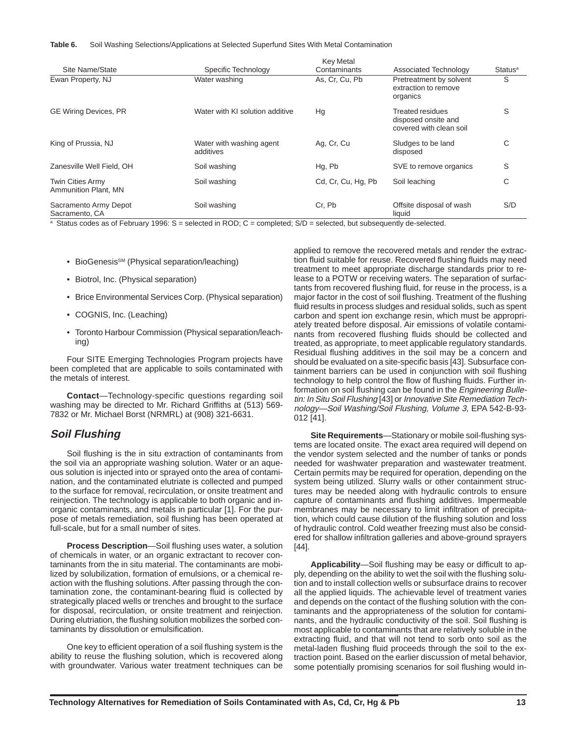**Table 6.** Soil Washing Selections/Applications at Selected Superfund Sites With Metal Contamination

|                                                 | <b>Key Metal</b>                      |                    |                                                                    |                     |
|-------------------------------------------------|---------------------------------------|--------------------|--------------------------------------------------------------------|---------------------|
| Site Name/State                                 | Specific Technology                   | Contaminants       | Associated Technology                                              | Status <sup>a</sup> |
| Ewan Property, NJ                               | Water washing                         | As, Cr, Cu, Pb     | Pretreatment by solvent<br>extraction to remove<br>organics        | S                   |
| <b>GE Wiring Devices, PR</b>                    | Water with KI solution additive       | Hg                 | Treated residues<br>disposed onsite and<br>covered with clean soil | S                   |
| King of Prussia, NJ                             | Water with washing agent<br>additives | Ag, Cr, Cu         | Sludges to be land<br>disposed                                     | C                   |
| Zanesville Well Field, OH                       | Soil washing                          | Hg, Pb             | SVE to remove organics                                             | S                   |
| <b>Twin Cities Army</b><br>Ammunition Plant, MN | Soil washing                          | Cd, Cr, Cu, Hg, Pb | Soil leaching                                                      | C                   |
| Sacramento Army Depot<br>Sacramento, CA         | Soil washing                          | Cr. Pb             | Offsite disposal of wash<br>liquid                                 | S/D                 |

Status codes as of February 1996: S = selected in ROD; C = completed;  $S/D$  = selected, but subsequently de-selected.

- BioGenesis<sup>SM</sup> (Physical separation/leaching)
- Biotrol, Inc. (Physical separation)
- Brice Environmental Services Corp. (Physical separation)
- COGNIS, Inc. (Leaching)
- Toronto Harbour Commission (Physical separation/leaching)

Four SITE Emerging Technologies Program projects have been completed that are applicable to soils contaminated with the metals of interest.

**Contact**—Technology-specific questions regarding soil washing may be directed to Mr. Richard Griffiths at (513) 569- 7832 or Mr. Michael Borst (NRMRL) at (908) 321-6631.

## **Soil Flushing**

Soil flushing is the in situ extraction of contaminants from the soil via an appropriate washing solution. Water or an aqueous solution is injected into or sprayed onto the area of contamination, and the contaminated elutriate is collected and pumped to the surface for removal, recirculation, or onsite treatment and reinjection. The technology is applicable to both organic and inorganic contaminants, and metals in particular [1]. For the purpose of metals remediation, soil flushing has been operated at full-scale, but for a small number of sites.

**Process Description**—Soil flushing uses water, a solution of chemicals in water, or an organic extractant to recover contaminants from the in situ material. The contaminants are mobilized by solubilization, formation of emulsions, or a chemical reaction with the flushing solutions. After passing through the contamination zone, the contaminant-bearing fluid is collected by strategically placed wells or trenches and brought to the surface for disposal, recirculation, or onsite treatment and reinjection. During elutriation, the flushing solution mobilizes the sorbed contaminants by dissolution or emulsification.

One key to efficient operation of a soil flushing system is the ability to reuse the flushing solution, which is recovered along with groundwater. Various water treatment techniques can be applied to remove the recovered metals and render the extraction fluid suitable for reuse. Recovered flushing fluids may need treatment to meet appropriate discharge standards prior to release to a POTW or receiving waters. The separation of surfactants from recovered flushing fluid, for reuse in the process, is a major factor in the cost of soil flushing. Treatment of the flushing fluid results in process sludges and residual solids, such as spent carbon and spent ion exchange resin, which must be appropriately treated before disposal. Air emissions of volatile contaminants from recovered flushing fluids should be collected and treated, as appropriate, to meet applicable regulatory standards. Residual flushing additives in the soil may be a concern and should be evaluated on a site-specific basis [43]. Subsurface containment barriers can be used in conjunction with soil flushing technology to help control the flow of flushing fluids. Further information on soil flushing can be found in the Engineering Bulletin: In Situ Soil Flushing [43] or Innovative Site Remediation Technology—Soil Washing/Soil Flushing, Volume 3, EPA 542-B-93- 012 [41].

**Site Requirements**—Stationary or mobile soil-flushing systems are located onsite. The exact area required will depend on the vendor system selected and the number of tanks or ponds needed for washwater preparation and wastewater treatment. Certain permits may be required for operation, depending on the system being utilized. Slurry walls or other containment structures may be needed along with hydraulic controls to ensure capture of contaminants and flushing additives. Impermeable membranes may be necessary to limit infiltration of precipitation, which could cause dilution of the flushing solution and loss of hydraulic control. Cold weather freezing must also be considered for shallow infiltration galleries and above-ground sprayers [44].

**Applicability**—Soil flushing may be easy or difficult to apply, depending on the ability to wet the soil with the flushing solution and to install collection wells or subsurface drains to recover all the applied liquids. The achievable level of treatment varies and depends on the contact of the flushing solution with the contaminants and the appropriateness of the solution for contaminants, and the hydraulic conductivity of the soil. Soil flushing is most applicable to contaminants that are relatively soluble in the extracting fluid, and that will not tend to sorb onto soil as the metal-laden flushing fluid proceeds through the soil to the extraction point. Based on the earlier discussion of metal behavior, some potentially promising scenarios for soil flushing would in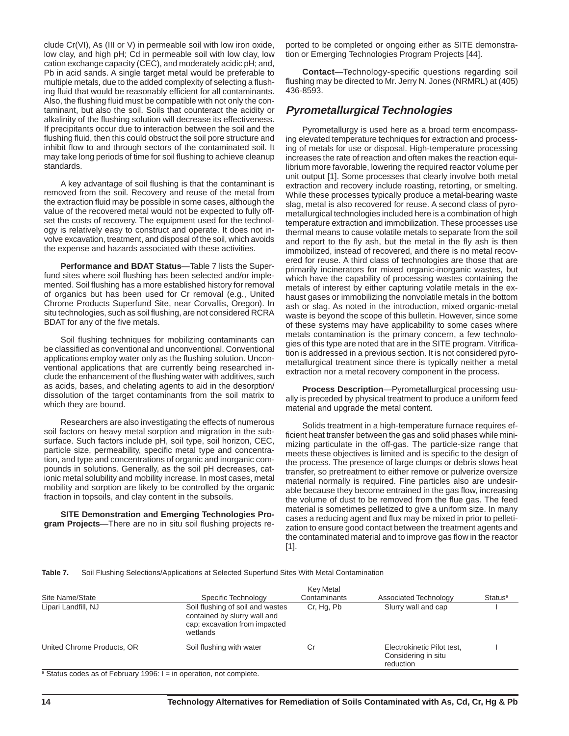clude Cr(VI), As (III or V) in permeable soil with low iron oxide, low clay, and high pH; Cd in permeable soil with low clay, low cation exchange capacity (CEC), and moderately acidic pH; and, Pb in acid sands. A single target metal would be preferable to multiple metals, due to the added complexity of selecting a flushing fluid that would be reasonably efficient for all contaminants. Also, the flushing fluid must be compatible with not only the contaminant, but also the soil. Soils that counteract the acidity or alkalinity of the flushing solution will decrease its effectiveness. If precipitants occur due to interaction between the soil and the flushing fluid, then this could obstruct the soil pore structure and inhibit flow to and through sectors of the contaminated soil. It may take long periods of time for soil flushing to achieve cleanup standards.

A key advantage of soil flushing is that the contaminant is removed from the soil. Recovery and reuse of the metal from the extraction fluid may be possible in some cases, although the value of the recovered metal would not be expected to fully offset the costs of recovery. The equipment used for the technology is relatively easy to construct and operate. It does not involve excavation, treatment, and disposal of the soil, which avoids the expense and hazards associated with these activities.

**Performance and BDAT Status**—Table 7 lists the Superfund sites where soil flushing has been selected and/or implemented. Soil flushing has a more established history for removal of organics but has been used for Cr removal (e.g., United Chrome Products Superfund Site, near Corvallis, Oregon). In situ technologies, such as soil flushing, are not considered RCRA BDAT for any of the five metals.

Soil flushing techniques for mobilizing contaminants can be classified as conventional and unconventional. Conventional applications employ water only as the flushing solution. Unconventional applications that are currently being researched include the enhancement of the flushing water with additives, such as acids, bases, and chelating agents to aid in the desorption/ dissolution of the target contaminants from the soil matrix to which they are bound.

Researchers are also investigating the effects of numerous soil factors on heavy metal sorption and migration in the subsurface. Such factors include pH, soil type, soil horizon, CEC, particle size, permeability, specific metal type and concentration, and type and concentrations of organic and inorganic compounds in solutions. Generally, as the soil pH decreases, cationic metal solubility and mobility increase. In most cases, metal mobility and sorption are likely to be controlled by the organic fraction in topsoils, and clay content in the subsoils.

**SITE Demonstration and Emerging Technologies Program Projects**—There are no in situ soil flushing projects reported to be completed or ongoing either as SITE demonstration or Emerging Technologies Program Projects [44].

**Contact**—Technology-specific questions regarding soil flushing may be directed to Mr. Jerry N. Jones (NRMRL) at (405) 436-8593.

## **Pyrometallurgical Technologies**

Pyrometallurgy is used here as a broad term encompassing elevated temperature techniques for extraction and processing of metals for use or disposal. High-temperature processing increases the rate of reaction and often makes the reaction equilibrium more favorable, lowering the required reactor volume per unit output [1]. Some processes that clearly involve both metal extraction and recovery include roasting, retorting, or smelting. While these processes typically produce a metal-bearing waste slag, metal is also recovered for reuse. A second class of pyrometallurgical technologies included here is a combination of high temperature extraction and immobilization. These processes use thermal means to cause volatile metals to separate from the soil and report to the fly ash, but the metal in the fly ash is then immobilized, instead of recovered, and there is no metal recovered for reuse. A third class of technologies are those that are primarily incinerators for mixed organic-inorganic wastes, but which have the capability of processing wastes containing the metals of interest by either capturing volatile metals in the exhaust gases or immobilizing the nonvolatile metals in the bottom ash or slag. As noted in the introduction, mixed organic-metal waste is beyond the scope of this bulletin. However, since some of these systems may have applicability to some cases where metals contamination is the primary concern, a few technologies of this type are noted that are in the SITE program. Vitrification is addressed in a previous section. It is not considered pyrometallurgical treatment since there is typically neither a metal extraction nor a metal recovery component in the process.

**Process Description**—Pyrometallurgical processing usually is preceded by physical treatment to produce a uniform feed material and upgrade the metal content.

Solids treatment in a high-temperature furnace requires efficient heat transfer between the gas and solid phases while minimizing particulate in the off-gas. The particle-size range that meets these objectives is limited and is specific to the design of the process. The presence of large clumps or debris slows heat transfer, so pretreatment to either remove or pulverize oversize material normally is required. Fine particles also are undesirable because they become entrained in the gas flow, increasing the volume of dust to be removed from the flue gas. The feed material is sometimes pelletized to give a uniform size. In many cases a reducing agent and flux may be mixed in prior to pelletization to ensure good contact between the treatment agents and the contaminated material and to improve gas flow in the reactor [1].

**Table 7.** Soil Flushing Selections/Applications at Selected Superfund Sites With Metal Contamination

| Site Name/State                                                            | Specific Technology                                                                                           | Contaminants | Associated Technology                                          | Status <sup>a</sup> |
|----------------------------------------------------------------------------|---------------------------------------------------------------------------------------------------------------|--------------|----------------------------------------------------------------|---------------------|
| Lipari Landfill, NJ                                                        | Soil flushing of soil and wastes<br>contained by slurry wall and<br>cap; excavation from impacted<br>wetlands | Cr. Hg, Pb   | Slurry wall and cap                                            |                     |
| United Chrome Products, OR                                                 | Soil flushing with water                                                                                      | Cr           | Electrokinetic Pilot test.<br>Considering in situ<br>reduction |                     |
| $^{\circ}$ Status codes as of Eebruary 1996; L = in operation not complete |                                                                                                               |              |                                                                |                     |

or February 1996:  $I = \text{in operation}$ , not complete.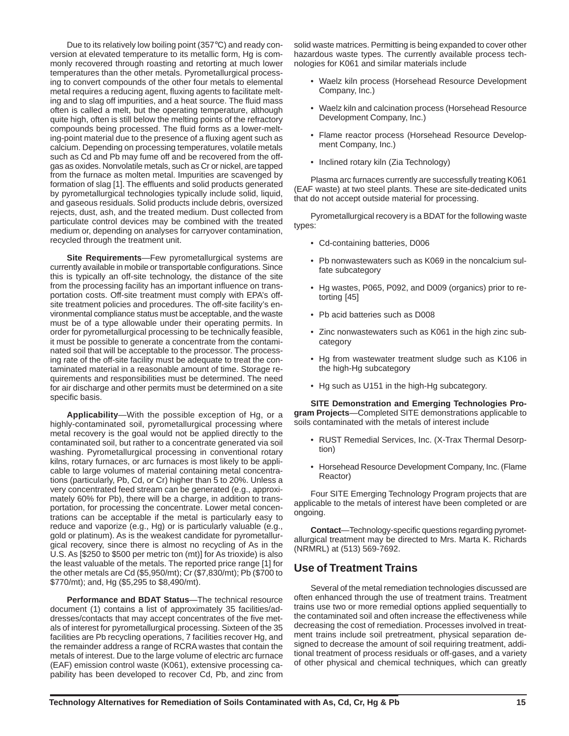Due to its relatively low boiling point (357°C) and ready conversion at elevated temperature to its metallic form, Hg is commonly recovered through roasting and retorting at much lower temperatures than the other metals. Pyrometallurgical processing to convert compounds of the other four metals to elemental metal requires a reducing agent, fluxing agents to facilitate melting and to slag off impurities, and a heat source. The fluid mass often is called a melt, but the operating temperature, although quite high, often is still below the melting points of the refractory compounds being processed. The fluid forms as a lower-melting-point material due to the presence of a fluxing agent such as calcium. Depending on processing temperatures, volatile metals such as Cd and Pb may fume off and be recovered from the offgas as oxides. Nonvolatile metals, such as Cr or nickel, are tapped from the furnace as molten metal. Impurities are scavenged by formation of slag [1]. The effluents and solid products generated by pyrometallurgical technologies typically include solid, liquid, and gaseous residuals. Solid products include debris, oversized rejects, dust, ash, and the treated medium. Dust collected from particulate control devices may be combined with the treated medium or, depending on analyses for carryover contamination, recycled through the treatment unit.

**Site Requirements**—Few pyrometallurgical systems are currently available in mobile or transportable configurations. Since this is typically an off-site technology, the distance of the site from the processing facility has an important influence on transportation costs. Off-site treatment must comply with EPA's offsite treatment policies and procedures. The off-site facility's environmental compliance status must be acceptable, and the waste must be of a type allowable under their operating permits. In order for pyrometallurgical processing to be technically feasible, it must be possible to generate a concentrate from the contaminated soil that will be acceptable to the processor. The processing rate of the off-site facility must be adequate to treat the contaminated material in a reasonable amount of time. Storage requirements and responsibilities must be determined. The need for air discharge and other permits must be determined on a site specific basis.

**Applicability**—With the possible exception of Hg, or a highly-contaminated soil, pyrometallurgical processing where metal recovery is the goal would not be applied directly to the contaminated soil, but rather to a concentrate generated via soil washing. Pyrometallurgical processing in conventional rotary kilns, rotary furnaces, or arc furnaces is most likely to be applicable to large volumes of material containing metal concentrations (particularly, Pb, Cd, or Cr) higher than 5 to 20%. Unless a very concentrated feed stream can be generated (e.g., approximately 60% for Pb), there will be a charge, in addition to transportation, for processing the concentrate. Lower metal concentrations can be acceptable if the metal is particularly easy to reduce and vaporize (e.g., Hg) or is particularly valuable (e.g., gold or platinum). As is the weakest candidate for pyrometallurgical recovery, since there is almost no recycling of As in the U.S. As [\$250 to \$500 per metric ton (mt)] for As trioxide) is also the least valuable of the metals. The reported price range [1] for the other metals are Cd (\$5,950/mt); Cr (\$7,830/mt); Pb (\$700 to \$770/mt); and, Hg (\$5,295 to \$8,490/mt).

**Performance and BDAT Status**—The technical resource document (1) contains a list of approximately 35 facilities/addresses/contacts that may accept concentrates of the five metals of interest for pyrometallurgical processing. Sixteen of the 35 facilities are Pb recycling operations, 7 facilities recover Hg, and the remainder address a range of RCRA wastes that contain the metals of interest. Due to the large volume of electric arc furnace (EAF) emission control waste (K061), extensive processing capability has been developed to recover Cd, Pb, and zinc from

solid waste matrices. Permitting is being expanded to cover other hazardous waste types. The currently available process technologies for K061 and similar materials include

- Waelz kiln process (Horsehead Resource Development Company, Inc.)
- Waelz kiln and calcination process (Horsehead Resource Development Company, Inc.)
- Flame reactor process (Horsehead Resource Development Company, Inc.)
- Inclined rotary kiln (Zia Technology)

Plasma arc furnaces currently are successfully treating K061 (EAF waste) at two steel plants. These are site-dedicated units that do not accept outside material for processing.

Pyrometallurgical recovery is a BDAT for the following waste types:

- Cd-containing batteries, D006
- Pb nonwastewaters such as K069 in the noncalcium sulfate subcategory
- Hg wastes, P065, P092, and D009 (organics) prior to retorting [45]
- Pb acid batteries such as D008
- Zinc nonwastewaters such as K061 in the high zinc subcategory
- Hg from wastewater treatment sludge such as K106 in the high-Hg subcategory
- Hg such as U151 in the high-Hg subcategory.

**SITE Demonstration and Emerging Technologies Program Projects**—Completed SITE demonstrations applicable to soils contaminated with the metals of interest include

- RUST Remedial Services, Inc. (X-Trax Thermal Desorption)
- Horsehead Resource Development Company, Inc. (Flame Reactor)

Four SITE Emerging Technology Program projects that are applicable to the metals of interest have been completed or are ongoing.

**Contact**—Technology-specific questions regarding pyrometallurgical treatment may be directed to Mrs. Marta K. Richards (NRMRL) at (513) 569-7692.

## **Use of Treatment Trains**

Several of the metal remediation technologies discussed are often enhanced through the use of treatment trains. Treatment trains use two or more remedial options applied sequentially to the contaminated soil and often increase the effectiveness while decreasing the cost of remediation. Processes involved in treatment trains include soil pretreatment, physical separation designed to decrease the amount of soil requiring treatment, additional treatment of process residuals or off-gases, and a variety of other physical and chemical techniques, which can greatly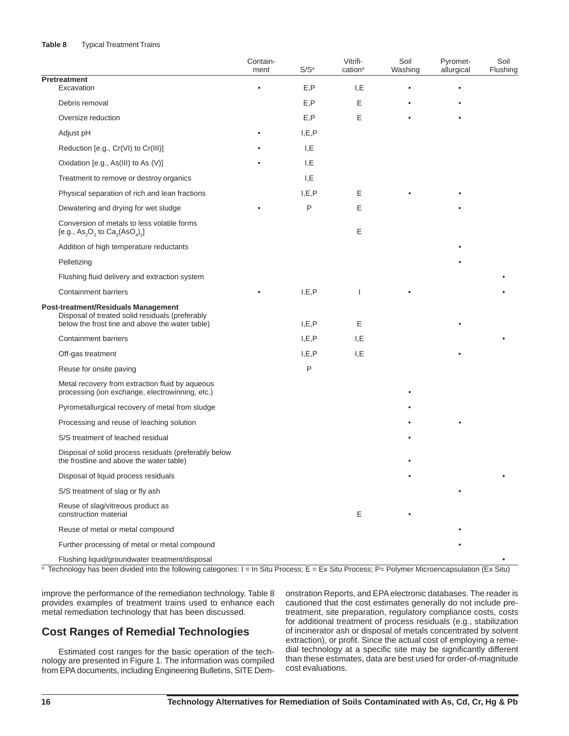#### **Table 8** Typical Treatment Trains

|                                                                                                                                                  | Contain-<br>ment | S/S <sup>a</sup> | Vitrifi-<br>cation <sup>a</sup> | Soil<br>Washing | Pyromet-<br>allurgical | Soil<br>Flushing |
|--------------------------------------------------------------------------------------------------------------------------------------------------|------------------|------------------|---------------------------------|-----------------|------------------------|------------------|
| <b>Pretreatment</b><br>Excavation                                                                                                                |                  | E, P             | I, E                            |                 |                        |                  |
| Debris removal                                                                                                                                   |                  | E, P             | Ε                               |                 |                        |                  |
| Oversize reduction                                                                                                                               |                  | E, P             | Ε                               |                 |                        |                  |
| Adjust pH                                                                                                                                        |                  | I, E, P          |                                 |                 |                        |                  |
|                                                                                                                                                  |                  | I, E             |                                 |                 |                        |                  |
| Reduction [e.g., Cr(VI) to Cr(III)]<br>Oxidation [e.g., As(III) to As (V)]                                                                       |                  | I, E             |                                 |                 |                        |                  |
|                                                                                                                                                  |                  | I, E             |                                 |                 |                        |                  |
| Treatment to remove or destroy organics                                                                                                          |                  |                  | Ε                               |                 |                        |                  |
| Physical separation of rich and lean fractions                                                                                                   |                  | I, E, P          |                                 |                 |                        |                  |
| Dewatering and drying for wet sludge                                                                                                             |                  | P                | E                               |                 |                        |                  |
| Conversion of metals to less volatile forms<br>[e.g., As <sub>2</sub> O <sub>3</sub> to Ca <sub>3</sub> (AsO <sub>4</sub> ) <sub>2</sub> ]       |                  |                  | E                               |                 |                        |                  |
| Addition of high temperature reductants                                                                                                          |                  |                  |                                 |                 |                        |                  |
| Pelletizing                                                                                                                                      |                  |                  |                                 |                 |                        |                  |
| Flushing fluid delivery and extraction system                                                                                                    |                  |                  |                                 |                 |                        |                  |
| <b>Containment barriers</b>                                                                                                                      |                  | I.E, P           | $\mathsf{l}$                    |                 |                        |                  |
| <b>Post-treatment/Residuals Management</b><br>Disposal of treated solid residuals (preferably<br>below the frost line and above the water table) |                  | I, E, P          | Е                               |                 |                        |                  |
| Containment barriers                                                                                                                             |                  | I, E, P          | I, E                            |                 |                        |                  |
| Off-gas treatment                                                                                                                                |                  | I, E, P          | I, E                            |                 |                        |                  |
| Reuse for onsite paving                                                                                                                          |                  | P                |                                 |                 |                        |                  |
| Metal recovery from extraction fluid by aqueous<br>processing (ion exchange, electrowinning, etc.)                                               |                  |                  |                                 |                 |                        |                  |
| Pyrometallurgical recovery of metal from sludge                                                                                                  |                  |                  |                                 |                 |                        |                  |
| Processing and reuse of leaching solution                                                                                                        |                  |                  |                                 |                 |                        |                  |
| S/S treatment of leached residual                                                                                                                |                  |                  |                                 |                 |                        |                  |
| Disposal of solid process residuals (preferably below<br>the frostline and above the water table)                                                |                  |                  |                                 |                 |                        |                  |
| Disposal of liquid process residuals                                                                                                             |                  |                  |                                 | $\bullet$       |                        |                  |
| S/S treatment of slag or fly ash                                                                                                                 |                  |                  |                                 |                 |                        |                  |
| Reuse of slag/vitreous product as<br>construction material                                                                                       |                  |                  | E                               |                 |                        |                  |
| Reuse of metal or metal compound                                                                                                                 |                  |                  |                                 |                 |                        |                  |
| Further processing of metal or metal compound                                                                                                    |                  |                  |                                 |                 |                        |                  |
| Flushing liquid/groundwater treatment/disposal                                                                                                   |                  |                  |                                 |                 |                        |                  |

a Technology has been divided into the following categories: I = In Situ Process; E = Ex Situ Process; P= Polymer Microencapsulation (Ex Situ)

improve the performance of the remediation technology. Table 8 provides examples of treatment trains used to enhance each metal remediation technology that has been discussed.

## **Cost Ranges of Remedial Technologies**

Estimated cost ranges for the basic operation of the technology are presented in Figure 1. The information was compiled from EPA documents, including Engineering Bulletins, SITE Demonstration Reports, and EPA electronic databases. The reader is cautioned that the cost estimates generally do not include pretreatment, site preparation, regulatory compliance costs, costs for additional treatment of process residuals (e.g., stabilization of incinerator ash or disposal of metals concentrated by solvent extraction), or profit. Since the actual cost of employing a remedial technology at a specific site may be significantly different than these estimates, data are best used for order-of-magnitude cost evaluations.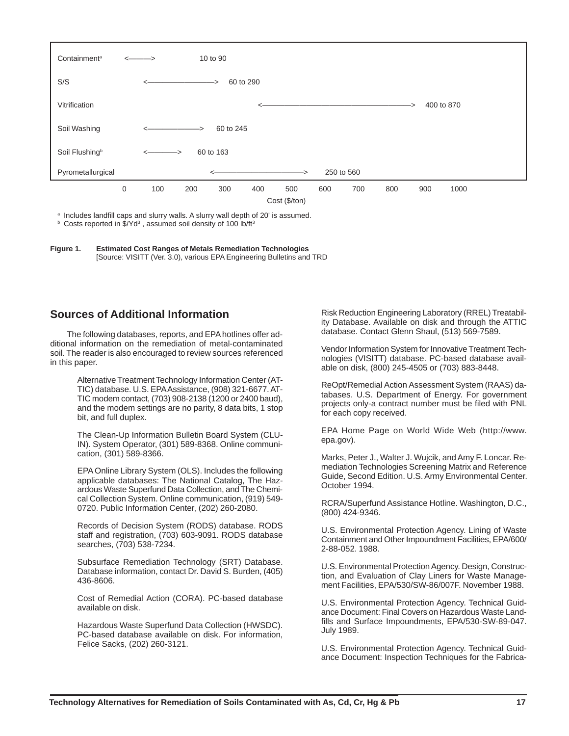

a Includes landfill caps and slurry walls. A slurry wall depth of 20' is assumed.

 $b$  Costs reported in \$/Yd<sup>3</sup>, assumed soil density of 100 lb/ft<sup>3</sup>

**Figure 1. Estimated Cost Ranges of Metals Remediation Technologies** [Source: VISITT (Ver. 3.0), various EPA Engineering Bulletins and TRD

## **Sources of Additional Information**

The following databases, reports, and EPA hotlines offer additional information on the remediation of metal-contaminated soil. The reader is also encouraged to review sources referenced in this paper.

> Alternative Treatment Technology Information Center (AT-TIC) database. U.S. EPA Assistance, (908) 321-6677. AT-TIC modem contact, (703) 908-2138 (1200 or 2400 baud), and the modem settings are no parity, 8 data bits, 1 stop bit, and full duplex.

> The Clean-Up Information Bulletin Board System (CLU-IN). System Operator, (301) 589-8368. Online communication, (301) 589-8366.

> EPA Online Library System (OLS). Includes the following applicable databases: The National Catalog, The Hazardous Waste Superfund Data Collection, and The Chemical Collection System. Online communication, (919) 549- 0720. Public Information Center, (202) 260-2080.

> Records of Decision System (RODS) database. RODS staff and registration, (703) 603-9091. RODS database searches, (703) 538-7234.

> Subsurface Remediation Technology (SRT) Database. Database information, contact Dr. David S. Burden, (405) 436-8606.

> Cost of Remedial Action (CORA). PC-based database available on disk.

> Hazardous Waste Superfund Data Collection (HWSDC). PC-based database available on disk. For information, Felice Sacks, (202) 260-3121.

Risk Reduction Engineering Laboratory (RREL) Treatability Database. Available on disk and through the ATTIC database. Contact Glenn Shaul, (513) 569-7589.

Vendor Information System for Innovative Treatment Technologies (VISITT) database. PC-based database available on disk, (800) 245-4505 or (703) 883-8448.

ReOpt/Remedial Action Assessment System (RAAS) databases. U.S. Department of Energy. For government projects only-a contract number must be filed with PNL for each copy received.

EPA Home Page on World Wide Web (http://www. epa.gov).

Marks, Peter J., Walter J. Wujcik, and Amy F. Loncar. Remediation Technologies Screening Matrix and Reference Guide, Second Edition. U.S. Army Environmental Center. October 1994.

RCRA/Superfund Assistance Hotline. Washington, D.C., (800) 424-9346.

U.S. Environmental Protection Agency. Lining of Waste Containment and Other Impoundment Facilities, EPA/600/ 2-88-052. 1988.

U.S. Environmental Protection Agency. Design, Construction, and Evaluation of Clay Liners for Waste Management Facilities, EPA/530/SW-86/007F. November 1988.

U.S. Environmental Protection Agency. Technical Guidance Document: Final Covers on Hazardous Waste Landfills and Surface Impoundments, EPA/530-SW-89-047. July 1989.

U.S. Environmental Protection Agency. Technical Guidance Document: Inspection Techniques for the Fabrica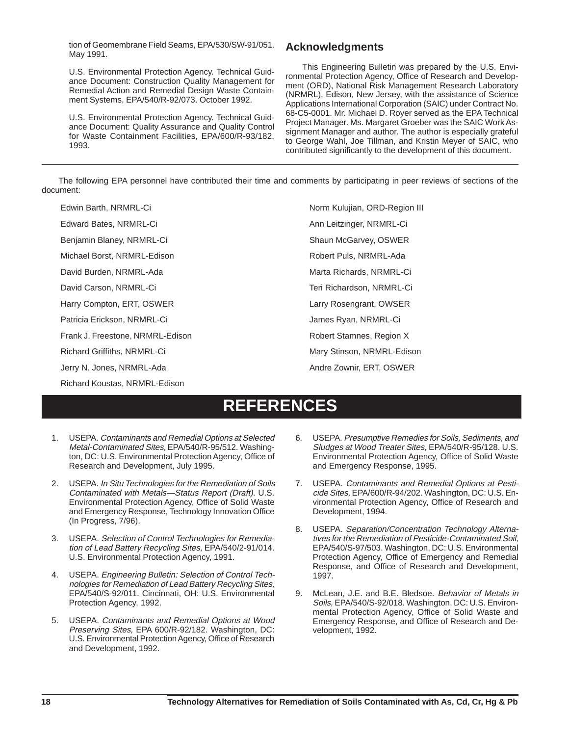tion of Geomembrane Field Seams, EPA/530/SW-91/051. May 1991.

U.S. Environmental Protection Agency. Technical Guidance Document: Construction Quality Management for Remedial Action and Remedial Design Waste Containment Systems, EPA/540/R-92/073. October 1992.

U.S. Environmental Protection Agency. Technical Guidance Document: Quality Assurance and Quality Control for Waste Containment Facilities, EPA/600/R-93/182. 1993.

## **Acknowledgments**

This Engineering Bulletin was prepared by the U.S. Environmental Protection Agency, Office of Research and Development (ORD), National Risk Management Research Laboratory (NRMRL), Edison, New Jersey, with the assistance of Science Applications International Corporation (SAIC) under Contract No. 68-C5-0001. Mr. Michael D. Royer served as the EPA Technical Project Manager. Ms. Margaret Groeber was the SAIC Work Assignment Manager and author. The author is especially grateful to George Wahl, Joe Tillman, and Kristin Meyer of SAIC, who contributed significantly to the development of this document.

The following EPA personnel have contributed their time and comments by participating in peer reviews of sections of the document:

Edward Bates, NRMRL-Ci **Ann Leitzinger, NRMRL-Ci** Ann Leitzinger, NRMRL-Ci Benjamin Blaney, NRMRL-Ci Shaun McGarvey, OSWER Michael Borst, NRMRL-Edison **Robert Puls, NRMRL-Ada** Robert Puls, NRMRL-Ada David Burden, NRMRL-Ada Marta Richards, NRMRL-Ci David Carson, NRMRL-Ci **Teri Richardson, NRMRL-Ci** Teri Richardson, NRMRL-Ci Harry Compton, ERT, OSWER Larry Rosengrant, OWSER Patricia Erickson, NRMRL-Ci **Vancia Erichia Erichia Erichia Erichia Erichia Erichia Erichia Erichia Erichia Eri** Frank J. Freestone, NRMRL-Edison **Robert Stammes, Region X** Robert Stammes, Region X Richard Griffiths, NRMRL-Ci **Mary Stinson, NRMRL-Edison** Jerry N. Jones, NRMRL-Ada Andre Zownir, ERT, OSWER

Richard Koustas, NRMRL-Edison

Edwin Barth, NRMRL-Ci **Norm Kulujian, ORD-Region III** 

## **REFERENCES**

- 1. USEPA. Contaminants and Remedial Options at Selected Metal-Contaminated Sites, EPA/540/R-95/512. Washington, DC: U.S. Environmental Protection Agency, Office of Research and Development, July 1995.
- 2. USEPA. In Situ Technologies for the Remediation of Soils Contaminated with Metals—Status Report (Draft). U.S. Environmental Protection Agency, Office of Solid Waste and Emergency Response, Technology Innovation Office (In Progress, 7/96).
- 3. USEPA. Selection of Control Technologies for Remediation of Lead Battery Recycling Sites, EPA/540/2-91/014. U.S. Environmental Protection Agency, 1991.
- 4. USEPA. Engineering Bulletin: Selection of Control Technologies for Remediation of Lead Battery Recycling Sites, EPA/540/S-92/011. Cincinnati, OH: U.S. Environmental Protection Agency, 1992.
- 5. USEPA. Contaminants and Remedial Options at Wood Preserving Sites, EPA 600/R-92/182. Washington, DC: U.S. Environmental Protection Agency, Office of Research and Development, 1992.
- 6. USEPA. Presumptive Remedies for Soils, Sediments, and Sludges at Wood Treater Sites, EPA/540/R-95/128. U.S. Environmental Protection Agency, Office of Solid Waste and Emergency Response, 1995.
- 7. USEPA. Contaminants and Remedial Options at Pesticide Sites, EPA/600/R-94/202. Washington, DC: U.S. Environmental Protection Agency, Office of Research and Development, 1994.
- 8. USEPA. Separation/Concentration Technology Alternatives for the Remediation of Pesticide-Contaminated Soil, EPA/540/S-97/503. Washington, DC: U.S. Environmental Protection Agency, Office of Emergency and Remedial Response, and Office of Research and Development, 1997.
- 9. McLean, J.E. and B.E. Bledsoe. Behavior of Metals in Soils, EPA/540/S-92/018. Washington, DC: U.S. Environmental Protection Agency, Office of Solid Waste and Emergency Response, and Office of Research and Development, 1992.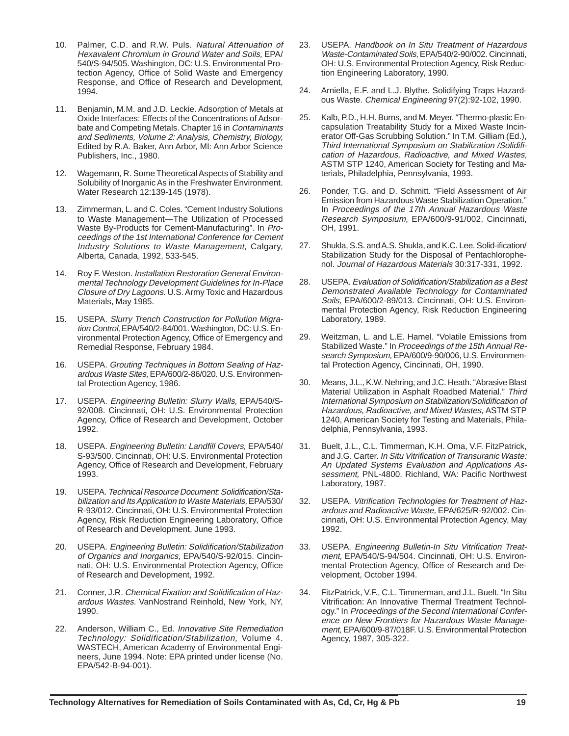- 10. Palmer, C.D. and R.W. Puls. Natural Attenuation of Hexavalent Chromium in Ground Water and Soils, EPA/ 540/S-94/505. Washington, DC: U.S. Environmental Protection Agency, Office of Solid Waste and Emergency Response, and Office of Research and Development, 1994.
- 11. Benjamin, M.M. and J.D. Leckie. Adsorption of Metals at Oxide Interfaces: Effects of the Concentrations of Adsorbate and Competing Metals. Chapter 16 in Contaminants and Sediments, Volume 2: Analysis, Chemistry, Biology, Edited by R.A. Baker, Ann Arbor, MI: Ann Arbor Science Publishers, Inc., 1980.
- 12. Wagemann, R. Some Theoretical Aspects of Stability and Solubility of Inorganic As in the Freshwater Environment. Water Research 12:139-145 (1978).
- 13. Zimmerman, L. and C. Coles. "Cement Industry Solutions to Waste Management—The Utilization of Processed Waste By-Products for Cement-Manufacturing". In Proceedings of the 1st International Conference for Cement Industry Solutions to Waste Management, Calgary, Alberta, Canada, 1992, 533-545.
- 14. Roy F. Weston. Installation Restoration General Environmental Technology Development Guidelines for In-Place Closure of Dry Lagoons. U.S. Army Toxic and Hazardous Materials, May 1985.
- 15. USEPA. Slurry Trench Construction for Pollution Migration Control, EPA/540/2-84/001. Washington, DC: U.S. Environmental Protection Agency, Office of Emergency and Remedial Response, February 1984.
- 16. USEPA. Grouting Techniques in Bottom Sealing of Hazardous Waste Sites, EPA/600/2-86/020. U.S. Environmental Protection Agency, 1986.
- 17. USEPA. Engineering Bulletin: Slurry Walls, EPA/540/S-92/008. Cincinnati, OH: U.S. Environmental Protection Agency, Office of Research and Development, October 1992.
- 18. USEPA. Engineering Bulletin: Landfill Covers, EPA/540/ S-93/500. Cincinnati, OH: U.S. Environmental Protection Agency, Office of Research and Development, February 1993.
- 19. USEPA. Technical Resource Document: Solidification/Stabilization and Its Application to Waste Materials, EPA/530/ R-93/012. Cincinnati, OH: U.S. Environmental Protection Agency, Risk Reduction Engineering Laboratory, Office of Research and Development, June 1993.
- 20. USEPA. Engineering Bulletin: Solidification/Stabilization of Organics and Inorganics, EPA/540/S-92/015. Cincinnati, OH: U.S. Environmental Protection Agency, Office of Research and Development, 1992.
- 21. Conner, J.R. Chemical Fixation and Solidification of Hazardous Wastes. VanNostrand Reinhold, New York, NY, 1990.
- 22. Anderson, William C., Ed. Innovative Site Remediation Technology: Solidification/Stabilization, Volume 4. WASTECH, American Academy of Environmental Engineers, June 1994. Note: EPA printed under license (No. EPA/542-B-94-001).
- 23. USEPA. Handbook on In Situ Treatment of Hazardous Waste-Contaminated Soils, EPA/540/2-90/002. Cincinnati, OH: U.S. Environmental Protection Agency, Risk Reduction Engineering Laboratory, 1990.
- 24. Arniella, E.F. and L.J. Blythe. Solidifying Traps Hazardous Waste. Chemical Engineering 97(2):92-102, 1990.
- 25. Kalb, P.D., H.H. Burns, and M. Meyer. "Thermo-plastic Encapsulation Treatability Study for a Mixed Waste Incinerator Off-Gas Scrubbing Solution." In T.M. Gilliam (Ed.), Third International Symposium on Stabilization /Solidification of Hazardous, Radioactive, and Mixed Wastes, ASTM STP 1240, American Society for Testing and Materials, Philadelphia, Pennsylvania, 1993.
- 26. Ponder, T.G. and D. Schmitt. "Field Assessment of Air Emission from Hazardous Waste Stabilization Operation." In Proceedings of the 17th Annual Hazardous Waste Research Symposium, EPA/600/9-91/002, Cincinnati, OH, 1991.
- 27. Shukla, S.S. and A.S. Shukla, and K.C. Lee. Solid-ification/ Stabilization Study for the Disposal of Pentachlorophenol. Journal of Hazardous Materials 30:317-331, 1992.
- 28. USEPA. Evaluation of Solidification/Stabilization as a Best Demonstrated Available Technology for Contaminated Soils, EPA/600/2-89/013. Cincinnati, OH: U.S. Environmental Protection Agency, Risk Reduction Engineering Laboratory, 1989.
- 29. Weitzman, L. and L.E. Hamel. "Volatile Emissions from Stabilized Waste." In Proceedings of the 15th Annual Research Symposium, EPA/600/9-90/006, U.S. Environmental Protection Agency, Cincinnati, OH, 1990.
- 30. Means, J.L., K.W. Nehring, and J.C. Heath. "Abrasive Blast Material Utilization in Asphalt Roadbed Material." Third International Symposium on Stabilization/Solidification of Hazardous, Radioactive, and Mixed Wastes, ASTM STP 1240, American Society for Testing and Materials, Philadelphia, Pennsylvania, 1993.
- 31. Buelt, J.L., C.L. Timmerman, K.H. Oma, V.F. FitzPatrick, and J.G. Carter. In Situ Vitrification of Transuranic Waste: An Updated Systems Evaluation and Applications Assessment, PNL-4800. Richland, WA: Pacific Northwest Laboratory, 1987.
- 32. USEPA. Vitrification Technologies for Treatment of Hazardous and Radioactive Waste, EPA/625/R-92/002. Cincinnati, OH: U.S. Environmental Protection Agency, May 1992.
- 33. USEPA. Engineering Bulletin-In Situ Vitrification Treatment, EPA/540/S-94/504. Cincinnati, OH: U.S. Environmental Protection Agency, Office of Research and Development, October 1994.
- 34. FitzPatrick, V.F., C.L. Timmerman, and J.L. Buelt. "In Situ Vitrification: An Innovative Thermal Treatment Technology." In Proceedings of the Second International Conference on New Frontiers for Hazardous Waste Management, EPA/600/9-87/018F. U.S. Environmental Protection Agency, 1987, 305-322.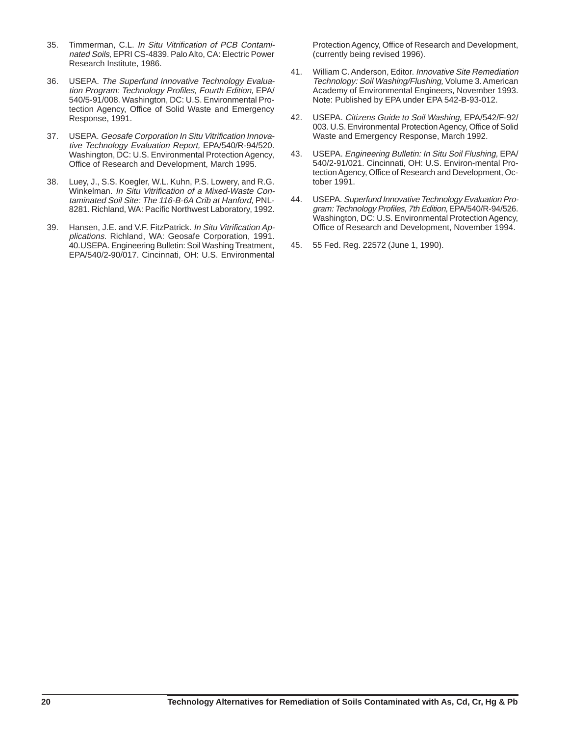- 35. Timmerman, C.L. In Situ Vitrification of PCB Contaminated Soils, EPRI CS-4839. Palo Alto, CA: Electric Power Research Institute, 1986.
- 36. USEPA. The Superfund Innovative Technology Evaluation Program: Technology Profiles, Fourth Edition, EPA/ 540/5-91/008. Washington, DC: U.S. Environmental Protection Agency, Office of Solid Waste and Emergency Response, 1991.
- 37. USEPA. Geosafe Corporation In Situ Vitrification Innovative Technology Evaluation Report, EPA/540/R-94/520. Washington, DC: U.S. Environmental Protection Agency, Office of Research and Development, March 1995.
- 38. Luey, J., S.S. Koegler, W.L. Kuhn, P.S. Lowery, and R.G. Winkelman. In Situ Vitrification of a Mixed-Waste Contaminated Soil Site: The 116-B-6A Crib at Hanford, PNL-8281. Richland, WA: Pacific Northwest Laboratory, 1992.
- 39. Hansen, J.E. and V.F. FitzPatrick. In Situ Vitrification Applications. Richland, WA: Geosafe Corporation, 1991. 40.USEPA. Engineering Bulletin: Soil Washing Treatment, EPA/540/2-90/017. Cincinnati, OH: U.S. Environmental

Protection Agency, Office of Research and Development, (currently being revised 1996).

- 41. William C. Anderson, Editor. Innovative Site Remediation Technology: Soil Washing/Flushing, Volume 3. American Academy of Environmental Engineers, November 1993. Note: Published by EPA under EPA 542-B-93-012.
- 42. USEPA. Citizens Guide to Soil Washing, EPA/542/F-92/ 003. U.S. Environmental Protection Agency, Office of Solid Waste and Emergency Response, March 1992.
- 43. USEPA. Engineering Bulletin: In Situ Soil Flushing, EPA/ 540/2-91/021. Cincinnati, OH: U.S. Environ-mental Protection Agency, Office of Research and Development, October 1991.
- 44. USEPA. Superfund Innovative Technology Evaluation Program: Technology Profiles, 7th Edition, EPA/540/R-94/526. Washington, DC: U.S. Environmental Protection Agency, Office of Research and Development, November 1994.
- 45. 55 Fed. Reg. 22572 (June 1, 1990).